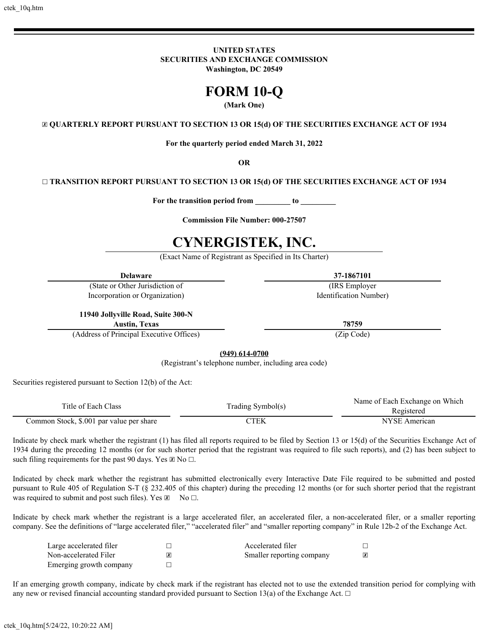**UNITED STATES SECURITIES AND EXCHANGE COMMISSION Washington, DC 20549**

# **FORM 10-Q**

# **(Mark One)**

☒ **QUARTERLY REPORT PURSUANT TO SECTION 13 OR 15(d) OF THE SECURITIES EXCHANGE ACT OF 1934**

**For the quarterly period ended March 31, 2022**

**OR**

☐ **TRANSITION REPORT PURSUANT TO SECTION 13 OR 15(d) OF THE SECURITIES EXCHANGE ACT OF 1934**

**For the transition period from \_\_\_\_\_\_\_\_\_ to \_\_\_\_\_\_\_\_\_**

**Commission File Number: 000-27507**

# **CYNERGISTEK, INC.**

(Exact Name of Registrant as Specified in Its Charter)

**Delaware 37-1867101**

(State or Other Jurisdiction of (IRS Employer Incorporation or Organization) Identification Number)

**11940 Jollyville Road, Suite 300-N**

**Austin, Texas 78759**

(Address of Principal Executive Offices) (Zip Code)

**(949) 614-0700**

(Registrant's telephone number, including area code)

Securities registered pursuant to Section 12(b) of the Act:

| Title of Each Class                      |                   | Name of Each Exchange on Which |  |  |  |  |  |
|------------------------------------------|-------------------|--------------------------------|--|--|--|--|--|
|                                          | Trading Symbol(s) | Registered                     |  |  |  |  |  |
| Common Stock, \$.001 par value per share |                   | NYSE American                  |  |  |  |  |  |

Indicate by check mark whether the registrant (1) has filed all reports required to be filed by Section 13 or 15(d) of the Securities Exchange Act of 1934 during the preceding 12 months (or for such shorter period that the registrant was required to file such reports), and (2) has been subject to such filing requirements for the past 90 days. Yes  $\boxtimes$  No  $\Box$ .

Indicated by check mark whether the registrant has submitted electronically every Interactive Date File required to be submitted and posted pursuant to Rule 405 of Regulation S-T (§ 232.405 of this chapter) during the preceding 12 months (or for such shorter period that the registrant was required to submit and post such files). Yes  $\mathbb{Z}$  No  $\Box$ .

Indicate by check mark whether the registrant is a large accelerated filer, an accelerated filer, a non-accelerated filer, or a smaller reporting company. See the definitions of "large accelerated filer," "accelerated filer" and "smaller reporting company" in Rule 12b-2 of the Exchange Act.

| Large accelerated filer | Accelerated filer         |  |
|-------------------------|---------------------------|--|
| Non-accelerated Filer   | Smaller reporting company |  |
| Emerging growth company |                           |  |

If an emerging growth company, indicate by check mark if the registrant has elected not to use the extended transition period for complying with any new or revised financial accounting standard provided pursuant to Section 13(a) of the Exchange Act.  $\Box$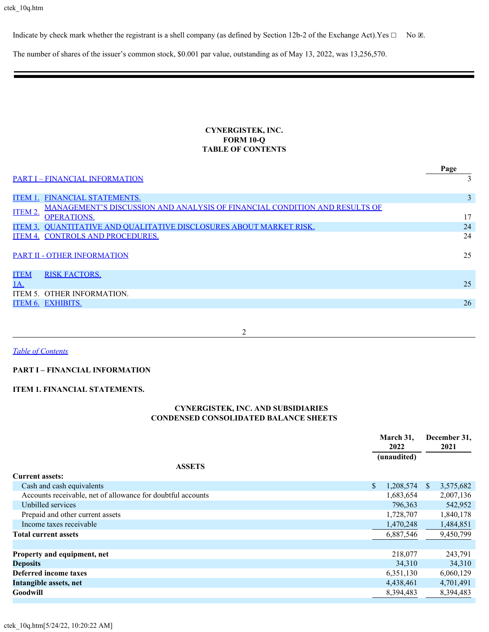Indicate by check mark whether the registrant is a shell company (as defined by Section 12b-2 of the Exchange Act). Yes  $\Box$  No  $\Box$ .

The number of shares of the issuer's common stock, \$0.001 par value, outstanding as of May 13, 2022, was 13,256,570.

# **CYNERGISTEK, INC. FORM 10-Q TABLE OF CONTENTS**

<span id="page-1-0"></span>

|             |                                                                                   | Page           |
|-------------|-----------------------------------------------------------------------------------|----------------|
|             | <b>PART I - FINANCIAL INFORMATION</b>                                             |                |
|             | <b>ITEM 1. FINANCIAL STATEMENTS.</b>                                              | $\overline{3}$ |
| ITEM 2.     | <b>MANAGEMENT'S DISCUSSION AND ANALYSIS OF FINANCIAL CONDITION AND RESULTS OF</b> |                |
|             | <b>OPERATIONS.</b>                                                                | 17             |
|             | ITEM 3. OUANTITATIVE AND OUALITATIVE DISCLOSURES ABOUT MARKET RISK.               | 24             |
| ITEM 4.     | <b>CONTROLS AND PROCEDURES.</b>                                                   | 24             |
|             | <b>PART II - OTHER INFORMATION</b>                                                | 25             |
| <b>ITEM</b> | <b>RISK FACTORS.</b>                                                              |                |
| <u>1A.</u>  |                                                                                   | 25             |
|             | ITEM 5. OTHER INFORMATION.                                                        |                |
|             | <b>ITEM 6. EXHIBITS.</b>                                                          | 26             |
|             |                                                                                   |                |

2

*[Table of Contents](#page-1-0)*

#### **PART I – FINANCIAL INFORMATION**

#### **ITEM 1. FINANCIAL STATEMENTS.**

# **CYNERGISTEK, INC. AND SUBSIDIARIES CONDENSED CONSOLIDATED BALANCE SHEETS**

|                                                             | March 31,<br>2022 |             |              | December 31,<br>2021 |
|-------------------------------------------------------------|-------------------|-------------|--------------|----------------------|
|                                                             |                   | (unaudited) |              |                      |
| <b>ASSETS</b>                                               |                   |             |              |                      |
| <b>Current assets:</b>                                      |                   |             |              |                      |
| Cash and cash equivalents                                   | S.                | 1,208,574   | <sup>S</sup> | 3,575,682            |
| Accounts receivable, net of allowance for doubtful accounts |                   | 1,683,654   |              | 2,007,136            |
| Unbilled services                                           |                   | 796,363     |              | 542,952              |
| Prepaid and other current assets                            |                   | 1,728,707   |              | 1,840,178            |
| Income taxes receivable                                     |                   | 1,470,248   |              | 1,484,851            |
| <b>Total current assets</b>                                 |                   | 6,887,546   |              | 9,450,799            |
|                                                             |                   |             |              |                      |
| Property and equipment, net                                 |                   | 218,077     |              | 243,791              |
| <b>Deposits</b>                                             |                   | 34,310      |              | 34,310               |
| Deferred income taxes                                       |                   | 6,351,130   |              | 6,060,129            |
| Intangible assets, net                                      |                   | 4,438,461   |              | 4,701,491            |
| Goodwill                                                    |                   | 8,394,483   |              | 8,394,483            |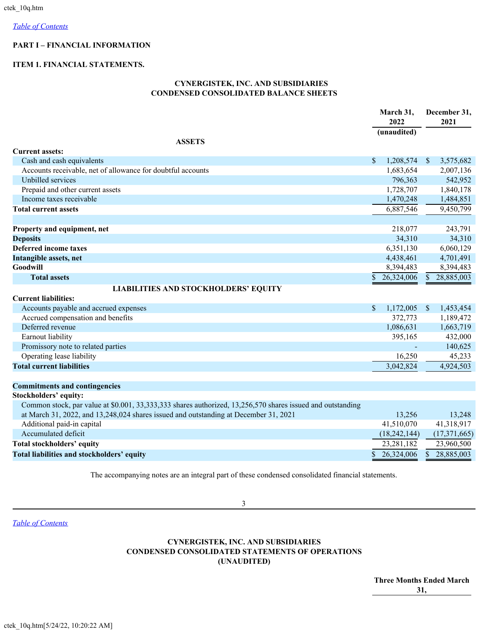# <span id="page-2-0"></span>**PART I – FINANCIAL INFORMATION**

#### <span id="page-2-1"></span>**ITEM 1. FINANCIAL STATEMENTS.**

# **CYNERGISTEK, INC. AND SUBSIDIARIES CONDENSED CONSOLIDATED BALANCE SHEETS**

|                                                                                                            |              | March 31,<br>2022 |               | December 31,<br>2021 |
|------------------------------------------------------------------------------------------------------------|--------------|-------------------|---------------|----------------------|
|                                                                                                            |              | (unaudited)       |               |                      |
| <b>ASSETS</b><br><b>Current assets:</b>                                                                    |              |                   |               |                      |
| Cash and cash equivalents                                                                                  | $\mathbb{S}$ | 1,208,574         | -S            | 3,575,682            |
| Accounts receivable, net of allowance for doubtful accounts                                                |              | 1,683,654         |               | 2,007,136            |
| Unbilled services                                                                                          |              | 796,363           |               | 542,952              |
| Prepaid and other current assets                                                                           |              | 1,728,707         |               | 1,840,178            |
| Income taxes receivable                                                                                    |              | 1,470,248         |               | 1,484,851            |
| <b>Total current assets</b>                                                                                |              | 6,887,546         |               | 9,450,799            |
|                                                                                                            |              |                   |               |                      |
| Property and equipment, net                                                                                |              | 218,077           |               | 243,791              |
| <b>Deposits</b>                                                                                            |              | 34,310            |               | 34,310               |
| <b>Deferred income taxes</b>                                                                               |              | 6,351,130         |               | 6,060,129            |
| Intangible assets, net                                                                                     |              | 4,438,461         |               | 4,701,491            |
| <b>Goodwill</b>                                                                                            |              | 8,394,483         |               | 8,394,483            |
| <b>Total assets</b>                                                                                        | $\mathbb{S}$ | 26,324,006        | $\mathbb{S}$  | 28,885,003           |
| <b>LIABILITIES AND STOCKHOLDERS' EQUITY</b>                                                                |              |                   |               |                      |
| <b>Current liabilities:</b>                                                                                |              |                   |               |                      |
| Accounts payable and accrued expenses                                                                      | $\mathbf S$  | 1,172,005         | $\mathcal{S}$ | 1,453,454            |
| Accrued compensation and benefits                                                                          |              | 372,773           |               | 1,189,472            |
| Deferred revenue                                                                                           |              | 1,086,631         |               | 1,663,719            |
| Earnout liability                                                                                          |              | 395,165           |               | 432,000              |
| Promissory note to related parties                                                                         |              |                   |               | 140,625              |
| Operating lease liability                                                                                  |              | 16,250            |               | 45,233               |
| <b>Total current liabilities</b>                                                                           |              | 3,042,824         |               | 4,924,503            |
| <b>Commitments and contingencies</b>                                                                       |              |                   |               |                      |
| <b>Stockholders' equity:</b>                                                                               |              |                   |               |                      |
| Common stock, par value at \$0.001, 33,333,333 shares authorized, 13,256,570 shares issued and outstanding |              |                   |               |                      |
| at March 31, 2022, and 13,248,024 shares issued and outstanding at December 31, 2021                       |              | 13,256            |               | 13,248               |
| Additional paid-in capital                                                                                 |              | 41,510,070        |               | 41,318,917           |
| Accumulated deficit                                                                                        |              | (18, 242, 144)    |               | (17, 371, 665)       |
| <b>Total stockholders' equity</b>                                                                          |              | 23,281,182        |               | 23,960,500           |
| Total liabilities and stockholders' equity                                                                 | $\mathbb{S}$ | 26,324,006        | $\mathbb{S}$  | 28,885,003           |
|                                                                                                            |              |                   |               |                      |

The accompanying notes are an integral part of these condensed consolidated financial statements.

*[Table of Contents](#page-1-0)*

# **CYNERGISTEK, INC. AND SUBSIDIARIES CONDENSED CONSOLIDATED STATEMENTS OF OPERATIONS (UNAUDITED)**

**Three Months Ended March 31,**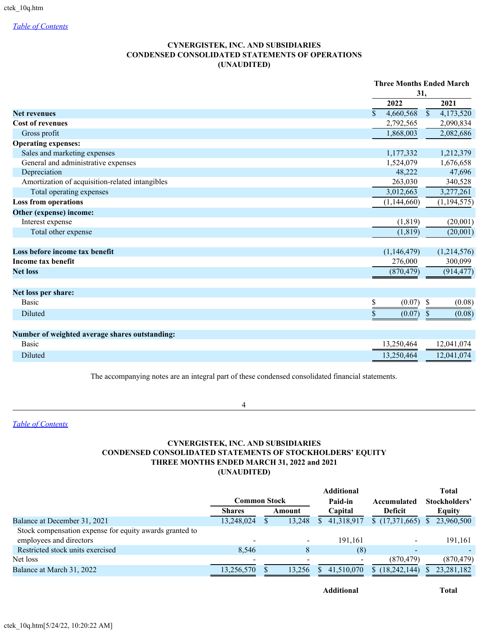# **CYNERGISTEK, INC. AND SUBSIDIARIES CONDENSED CONSOLIDATED STATEMENTS OF OPERATIONS (UNAUDITED)**

|                                                 |                            | <b>Three Months Ended March</b>        |
|-------------------------------------------------|----------------------------|----------------------------------------|
|                                                 |                            | 31,                                    |
|                                                 | 2022                       | 2021                                   |
| <b>Net revenues</b>                             | 4,660,568<br>$\mathcal{S}$ | 4,173,520<br>$\boldsymbol{\mathsf{S}}$ |
| <b>Cost of revenues</b>                         | 2,792,565                  | 2,090,834                              |
| Gross profit                                    | 1,868,003                  | 2,082,686                              |
| <b>Operating expenses:</b>                      |                            |                                        |
| Sales and marketing expenses                    | 1,177,332                  | 1,212,379                              |
| General and administrative expenses             | 1,524,079                  | 1,676,658                              |
| Depreciation                                    | 48,222                     | 47,696                                 |
| Amortization of acquisition-related intangibles | 263,030                    | 340,528                                |
| Total operating expenses                        | 3,012,663                  | 3,277,261                              |
| <b>Loss from operations</b>                     | (1, 144, 660)              | (1, 194, 575)                          |
| Other (expense) income:                         |                            |                                        |
| Interest expense                                | (1, 819)                   | (20,001)                               |
| Total other expense                             | (1, 819)                   | (20,001)                               |
| Loss before income tax benefit                  | (1,146,479)                | (1,214,576)                            |
| Income tax benefit                              | 276,000                    | 300,099                                |
| <b>Net loss</b>                                 | (870, 479)                 | (914, 477)                             |
| Net loss per share:                             |                            |                                        |
| <b>Basic</b>                                    | \$<br>(0.07)               | \$<br>(0.08)                           |
| Diluted                                         | \$<br>(0.07)               | $\mathbb{S}$<br>(0.08)                 |
| Number of weighted average shares outstanding:  |                            |                                        |
| <b>Basic</b>                                    | 13,250,464                 | 12,041,074                             |
| Diluted                                         | 13,250,464                 | 12,041,074                             |

The accompanying notes are an integral part of these condensed consolidated financial statements.

4

*[Table of Contents](#page-1-0)*

# **CYNERGISTEK, INC. AND SUBSIDIARIES CONDENSED CONSOLIDATED STATEMENTS OF STOCKHOLDERS' EQUITY THREE MONTHS ENDED MARCH 31, 2022 and 2021 (UNAUDITED)**

|                                                         |               |        | <b>Additional</b> |                          |              | <b>Total</b>  |
|---------------------------------------------------------|---------------|--------|-------------------|--------------------------|--------------|---------------|
|                                                         | Common Stock  |        | Paid-in           | Accumulated              |              | Stockholders' |
|                                                         | <b>Shares</b> | Amount | Capital           | <b>Deficit</b>           |              | Equity        |
| Balance at December 31, 2021                            | 13,248,024    | 13,248 | 41,318,917        | (17,371,665)             | <sup>S</sup> | 23,960,500    |
| Stock compensation expense for equity awards granted to |               |        |                   |                          |              |               |
| employees and directors                                 | -             |        | 191.161           | $\overline{\phantom{0}}$ |              | 191,161       |
| Restricted stock units exercised                        | 8.546         | 8      | (8)               | $\sim$                   |              |               |
| Net loss                                                |               |        |                   | (870, 479)               |              | (870, 479)    |
| Balance at March 31, 2022                               | 13,256,570    | 13,256 | 41.510.070        | \$(18,242,144)           |              | 23,281,182    |

**Additional Total**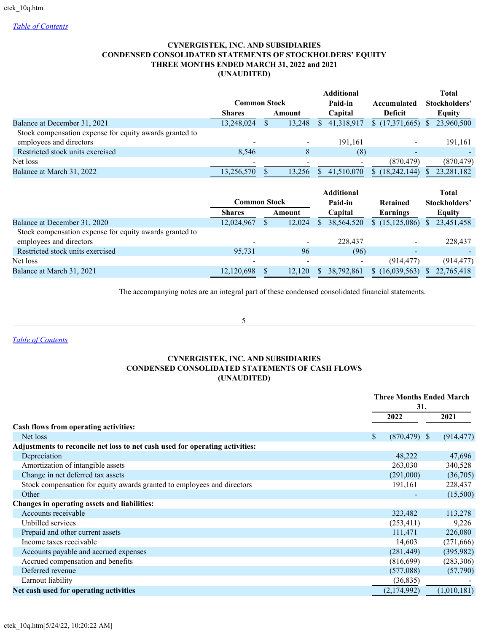# **CYNERGISTEK, INC. AND SUBSIDIARIES CONDENSED CONSOLIDATED STATEMENTS OF STOCKHOLDERS' EQUITY THREE MONTHS ENDED MARCH 31, 2022 and 2021 (UNAUDITED)**

|                                                         | <b>Common Stock</b> |        |    | <b>Additional</b><br>Paid-in | Accumulated              |     | <b>Total</b><br>Stockholders' |
|---------------------------------------------------------|---------------------|--------|----|------------------------------|--------------------------|-----|-------------------------------|
|                                                         | <b>Shares</b>       | Amount |    | Capital                      | <b>Deficit</b>           |     | Equity                        |
| Balance at December 31, 2021                            | 13,248,024          | 13,248 | S. | 41,318,917                   | \$(17,371,665)           | S.  | 23,960,500                    |
| Stock compensation expense for equity awards granted to |                     |        |    |                              |                          |     |                               |
| employees and directors                                 |                     |        |    | 191,161                      |                          |     | 191,161                       |
| Restricted stock units exercised                        | 8,546               | 8      |    | (8)                          | $\overline{\phantom{0}}$ |     |                               |
| Net loss                                                |                     |        |    |                              | (870, 479)               |     | (870, 479)                    |
| Balance at March 31, 2022                               | 13,256,570          | 13.256 |    | 41,510,070                   | \$(18, 242, 144)         | S.  | 23, 281, 182                  |
|                                                         | <b>Common Stock</b> |        |    | <b>Additional</b><br>Paid-in | <b>Retained</b>          |     | <b>Total</b><br>Stockholders' |
|                                                         | <b>Shares</b>       | Amount |    | Capital                      | Earnings                 |     | Equity                        |
| Balance at December 31, 2020                            | 12,024,967          | 12,024 |    | 38,564,520                   | \$(15, 125, 086)         | \$. | 23,451,458                    |

|                                                         |                          |                          |            | $\frac{1}{2}$ $\frac{1}{2}$ $\frac{1}{2}$ $\frac{1}{2}$ $\frac{1}{2}$ $\frac{1}{2}$ $\frac{1}{2}$ $\frac{1}{2}$ $\frac{1}{2}$ $\frac{1}{2}$ $\frac{1}{2}$ $\frac{1}{2}$ $\frac{1}{2}$ $\frac{1}{2}$ $\frac{1}{2}$ $\frac{1}{2}$ $\frac{1}{2}$ $\frac{1}{2}$ $\frac{1}{2}$ $\frac{1}{2}$ $\frac{1}{2}$ $\frac{1}{2}$ |           |
|---------------------------------------------------------|--------------------------|--------------------------|------------|---------------------------------------------------------------------------------------------------------------------------------------------------------------------------------------------------------------------------------------------------------------------------------------------------------------------|-----------|
| Stock compensation expense for equity awards granted to |                          |                          |            |                                                                                                                                                                                                                                                                                                                     |           |
| employees and directors                                 |                          | $\overline{\phantom{0}}$ | 228,437    | $\overline{\phantom{0}}$                                                                                                                                                                                                                                                                                            | 228.437   |
| Restricted stock units exercised                        | 95.731                   | 96                       | (96)       |                                                                                                                                                                                                                                                                                                                     |           |
| Net loss                                                | $\overline{\phantom{0}}$ |                          |            | (914.477)                                                                                                                                                                                                                                                                                                           | (914.477) |
| Balance at March 31, 2021                               | 12,120,698               | 12.120                   | 38,792,861 | $(16,039,563)$ \$ 22,765,418                                                                                                                                                                                                                                                                                        |           |

The accompanying notes are an integral part of these condensed consolidated financial statements.

5

*[Table of Contents](#page-1-0)*

# **CYNERGISTEK, INC. AND SUBSIDIARIES CONDENSED CONSOLIDATED STATEMENTS OF CASH FLOWS (UNAUDITED)**

|                                                                              |    | <b>Three Months Ended March</b><br>31, |             |            |  |
|------------------------------------------------------------------------------|----|----------------------------------------|-------------|------------|--|
|                                                                              |    | 2022                                   | 2021        |            |  |
| Cash flows from operating activities:                                        |    |                                        |             |            |  |
| Net loss                                                                     | \$ | $(870, 479)$ \$                        | (914, 477)  |            |  |
| Adjustments to reconcile net loss to net cash used for operating activities: |    |                                        |             |            |  |
| Depreciation                                                                 |    | 48,222                                 |             | 47,696     |  |
| Amortization of intangible assets                                            |    | 263,030                                | 340,528     |            |  |
| Change in net deferred tax assets                                            |    | (291,000)                              |             | (36,705)   |  |
| Stock compensation for equity awards granted to employees and directors      |    | 191,161                                | 228,437     |            |  |
| Other                                                                        |    |                                        |             | (15,500)   |  |
| Changes in operating assets and liabilities:                                 |    |                                        |             |            |  |
| Accounts receivable                                                          |    | 323,482                                | 113,278     |            |  |
| Unbilled services                                                            |    | (253, 411)                             |             | 9,226      |  |
| Prepaid and other current assets                                             |    | 111,471                                | 226,080     |            |  |
| Income taxes receivable                                                      |    | 14,603                                 |             | (271, 666) |  |
| Accounts payable and accrued expenses                                        |    | (281, 449)                             | (395,982)   |            |  |
| Accrued compensation and benefits                                            |    | (816,699)                              | (283, 306)  |            |  |
| Deferred revenue                                                             |    | (577,088)                              |             | (57,790)   |  |
| Earnout liability                                                            |    | (36, 835)                              |             |            |  |
| Net cash used for operating activities                                       |    | (2,174,992)                            | (1,010,181) |            |  |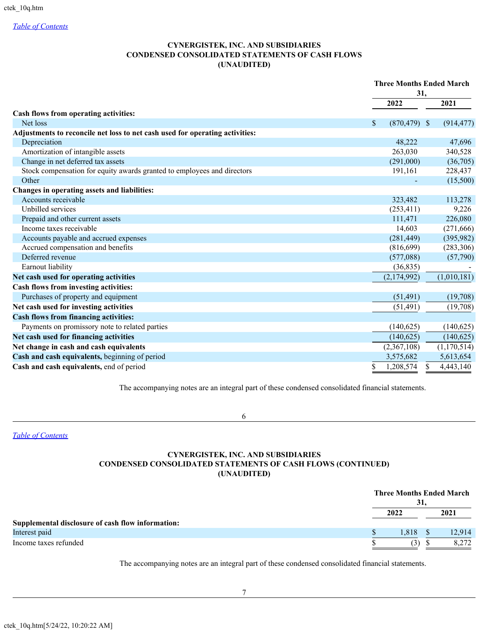# **CYNERGISTEK, INC. AND SUBSIDIARIES CONDENSED CONSOLIDATED STATEMENTS OF CASH FLOWS (UNAUDITED)**

|                                                                              | <b>Three Months Ended March</b><br>31,       |                |  |  |
|------------------------------------------------------------------------------|----------------------------------------------|----------------|--|--|
|                                                                              | 2022                                         | 2021           |  |  |
| Cash flows from operating activities:                                        |                                              |                |  |  |
| Net loss                                                                     | $\boldsymbol{\mathsf{S}}$<br>$(870, 479)$ \$ | (914, 477)     |  |  |
| Adjustments to reconcile net loss to net cash used for operating activities: |                                              |                |  |  |
| Depreciation                                                                 | 48,222                                       | 47,696         |  |  |
| Amortization of intangible assets                                            | 263,030                                      | 340,528        |  |  |
| Change in net deferred tax assets                                            | (291,000)                                    | (36,705)       |  |  |
| Stock compensation for equity awards granted to employees and directors      | 191,161                                      | 228,437        |  |  |
| Other                                                                        |                                              | (15,500)       |  |  |
| Changes in operating assets and liabilities:                                 |                                              |                |  |  |
| Accounts receivable                                                          | 323,482                                      | 113,278        |  |  |
| Unbilled services                                                            | (253, 411)                                   | 9,226          |  |  |
| Prepaid and other current assets                                             | 111,471                                      | 226,080        |  |  |
| Income taxes receivable                                                      | 14,603                                       | (271, 666)     |  |  |
| Accounts payable and accrued expenses                                        | (281, 449)                                   | (395,982)      |  |  |
| Accrued compensation and benefits                                            | (816, 699)                                   | (283, 306)     |  |  |
| Deferred revenue                                                             | (577,088)                                    | (57,790)       |  |  |
| Earnout liability                                                            | (36, 835)                                    |                |  |  |
| Net cash used for operating activities                                       | (2, 174, 992)                                | (1,010,181)    |  |  |
| Cash flows from investing activities:                                        |                                              |                |  |  |
| Purchases of property and equipment                                          | (51, 491)                                    | (19,708)       |  |  |
| Net cash used for investing activities                                       | (51, 491)                                    | (19,708)       |  |  |
| <b>Cash flows from financing activities:</b>                                 |                                              |                |  |  |
| Payments on promissory note to related parties                               | (140,625)                                    | (140, 625)     |  |  |
| Net cash used for financing activities                                       | (140, 625)                                   | (140, 625)     |  |  |
| Net change in cash and cash equivalents                                      | (2,367,108)                                  | (1,170,514)    |  |  |
| Cash and cash equivalents, beginning of period                               | 3,575,682                                    | 5,613,654      |  |  |
| Cash and cash equivalents, end of period                                     | \$<br>1,208,574                              | 4,443,140<br>S |  |  |

The accompanying notes are an integral part of these condensed consolidated financial statements.

6

*[Table of Contents](#page-1-0)*

# **CYNERGISTEK, INC. AND SUBSIDIARIES CONDENSED CONSOLIDATED STATEMENTS OF CASH FLOWS (CONTINUED) (UNAUDITED)**

|                                                   |      | 31     |      | <b>Three Months Ended March</b> |
|---------------------------------------------------|------|--------|------|---------------------------------|
|                                                   | 2022 |        | 2021 |                                 |
| Supplemental disclosure of cash flow information: |      |        |      |                                 |
| Interest paid                                     |      | 1.818. |      | 12.914                          |
| Income taxes refunded                             |      | (3)    |      |                                 |

The accompanying notes are an integral part of these condensed consolidated financial statements.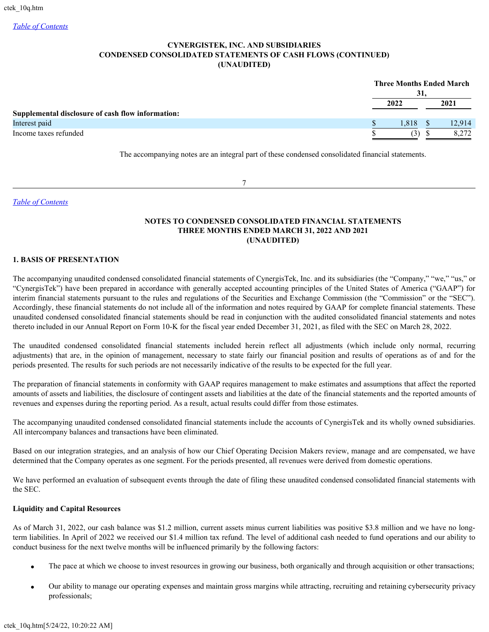# **CYNERGISTEK, INC. AND SUBSIDIARIES CONDENSED CONSOLIDATED STATEMENTS OF CASH FLOWS (CONTINUED) (UNAUDITED)**

|                                                   | 31.  | <b>Three Months Ended March</b> |
|---------------------------------------------------|------|---------------------------------|
|                                                   | 2022 | 2021                            |
| Supplemental disclosure of cash flow information: |      |                                 |
| Interest paid                                     | .818 | 12.914                          |
| Income taxes refunded                             | (3)  | 8.272                           |

The accompanying notes are an integral part of these condensed consolidated financial statements.

7

*[Table of Contents](#page-1-0)*

# **NOTES TO CONDENSED CONSOLIDATED FINANCIAL STATEMENTS THREE MONTHS ENDED MARCH 31, 2022 AND 2021 (UNAUDITED)**

# **1. BASIS OF PRESENTATION**

The accompanying unaudited condensed consolidated financial statements of CynergisTek, Inc. and its subsidiaries (the "Company," "we," "us," or "CynergisTek") have been prepared in accordance with generally accepted accounting principles of the United States of America ("GAAP") for interim financial statements pursuant to the rules and regulations of the Securities and Exchange Commission (the "Commission" or the "SEC"). Accordingly, these financial statements do not include all of the information and notes required by GAAP for complete financial statements. These unaudited condensed consolidated financial statements should be read in conjunction with the audited consolidated financial statements and notes thereto included in our Annual Report on Form 10-K for the fiscal year ended December 31, 2021, as filed with the SEC on March 28, 2022.

The unaudited condensed consolidated financial statements included herein reflect all adjustments (which include only normal, recurring adjustments) that are, in the opinion of management, necessary to state fairly our financial position and results of operations as of and for the periods presented. The results for such periods are not necessarily indicative of the results to be expected for the full year.

The preparation of financial statements in conformity with GAAP requires management to make estimates and assumptions that affect the reported amounts of assets and liabilities, the disclosure of contingent assets and liabilities at the date of the financial statements and the reported amounts of revenues and expenses during the reporting period. As a result, actual results could differ from those estimates.

The accompanying unaudited condensed consolidated financial statements include the accounts of CynergisTek and its wholly owned subsidiaries. All intercompany balances and transactions have been eliminated.

Based on our integration strategies, and an analysis of how our Chief Operating Decision Makers review, manage and are compensated, we have determined that the Company operates as one segment. For the periods presented, all revenues were derived from domestic operations.

We have performed an evaluation of subsequent events through the date of filing these unaudited condensed consolidated financial statements with the SEC.

# **Liquidity and Capital Resources**

As of March 31, 2022, our cash balance was \$1.2 million, current assets minus current liabilities was positive \$3.8 million and we have no longterm liabilities. In April of 2022 we received our \$1.4 million tax refund. The level of additional cash needed to fund operations and our ability to conduct business for the next twelve months will be influenced primarily by the following factors:

- The pace at which we choose to invest resources in growing our business, both organically and through acquisition or other transactions;
- · Our ability to manage our operating expenses and maintain gross margins while attracting, recruiting and retaining cybersecurity privacy professionals;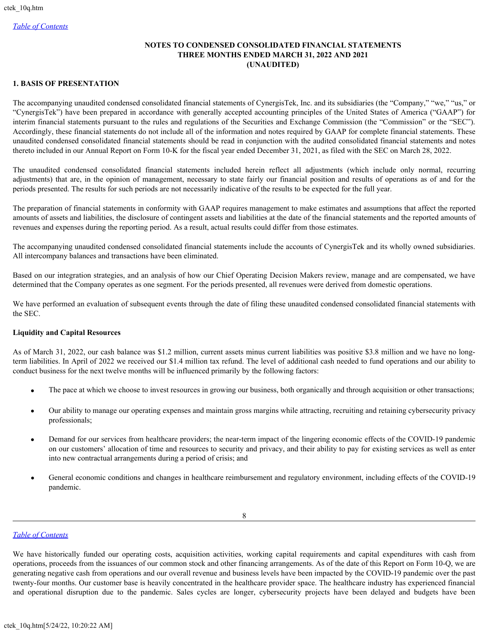# **NOTES TO CONDENSED CONSOLIDATED FINANCIAL STATEMENTS THREE MONTHS ENDED MARCH 31, 2022 AND 2021 (UNAUDITED)**

# **1. BASIS OF PRESENTATION**

The accompanying unaudited condensed consolidated financial statements of CynergisTek, Inc. and its subsidiaries (the "Company," "we," "us," or "CynergisTek") have been prepared in accordance with generally accepted accounting principles of the United States of America ("GAAP") for interim financial statements pursuant to the rules and regulations of the Securities and Exchange Commission (the "Commission" or the "SEC"). Accordingly, these financial statements do not include all of the information and notes required by GAAP for complete financial statements. These unaudited condensed consolidated financial statements should be read in conjunction with the audited consolidated financial statements and notes thereto included in our Annual Report on Form 10-K for the fiscal year ended December 31, 2021, as filed with the SEC on March 28, 2022.

The unaudited condensed consolidated financial statements included herein reflect all adjustments (which include only normal, recurring adjustments) that are, in the opinion of management, necessary to state fairly our financial position and results of operations as of and for the periods presented. The results for such periods are not necessarily indicative of the results to be expected for the full year.

The preparation of financial statements in conformity with GAAP requires management to make estimates and assumptions that affect the reported amounts of assets and liabilities, the disclosure of contingent assets and liabilities at the date of the financial statements and the reported amounts of revenues and expenses during the reporting period. As a result, actual results could differ from those estimates.

The accompanying unaudited condensed consolidated financial statements include the accounts of CynergisTek and its wholly owned subsidiaries. All intercompany balances and transactions have been eliminated.

Based on our integration strategies, and an analysis of how our Chief Operating Decision Makers review, manage and are compensated, we have determined that the Company operates as one segment. For the periods presented, all revenues were derived from domestic operations.

We have performed an evaluation of subsequent events through the date of filing these unaudited condensed consolidated financial statements with the SEC.

# **Liquidity and Capital Resources**

As of March 31, 2022, our cash balance was \$1.2 million, current assets minus current liabilities was positive \$3.8 million and we have no longterm liabilities. In April of 2022 we received our \$1.4 million tax refund. The level of additional cash needed to fund operations and our ability to conduct business for the next twelve months will be influenced primarily by the following factors:

- The pace at which we choose to invest resources in growing our business, both organically and through acquisition or other transactions;
- · Our ability to manage our operating expenses and maintain gross margins while attracting, recruiting and retaining cybersecurity privacy professionals;
- · Demand for our services from healthcare providers; the near-term impact of the lingering economic effects of the COVID-19 pandemic on our customers' allocation of time and resources to security and privacy, and their ability to pay for existing services as well as enter into new contractual arrangements during a period of crisis; and
- General economic conditions and changes in healthcare reimbursement and regulatory environment, including effects of the COVID-19 pandemic.

# *[Table of Contents](#page-1-0)*

We have historically funded our operating costs, acquisition activities, working capital requirements and capital expenditures with cash from operations, proceeds from the issuances of our common stock and other financing arrangements. As of the date of this Report on Form 10-Q, we are generating negative cash from operations and our overall revenue and business levels have been impacted by the COVID-19 pandemic over the past twenty-four months. Our customer base is heavily concentrated in the healthcare provider space. The healthcare industry has experienced financial and operational disruption due to the pandemic. Sales cycles are longer, cybersecurity projects have been delayed and budgets have been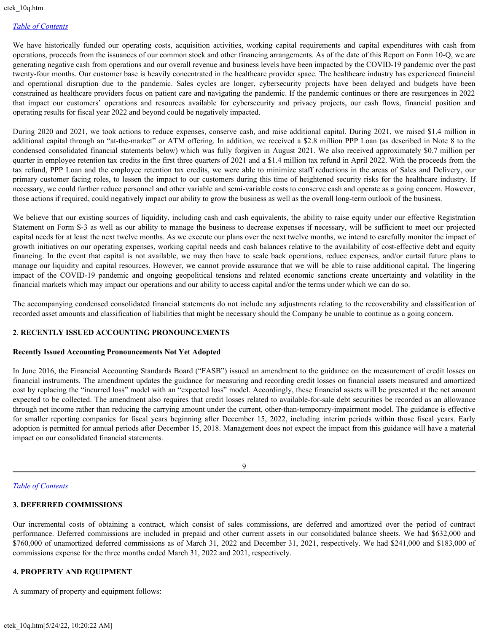We have historically funded our operating costs, acquisition activities, working capital requirements and capital expenditures with cash from operations, proceeds from the issuances of our common stock and other financing arrangements. As of the date of this Report on Form 10-Q, we are generating negative cash from operations and our overall revenue and business levels have been impacted by the COVID-19 pandemic over the past twenty-four months. Our customer base is heavily concentrated in the healthcare provider space. The healthcare industry has experienced financial and operational disruption due to the pandemic. Sales cycles are longer, cybersecurity projects have been delayed and budgets have been constrained as healthcare providers focus on patient care and navigating the pandemic. If the pandemic continues or there are resurgences in 2022 that impact our customers' operations and resources available for cybersecurity and privacy projects, our cash flows, financial position and operating results for fiscal year 2022 and beyond could be negatively impacted.

During 2020 and 2021, we took actions to reduce expenses, conserve cash, and raise additional capital. During 2021, we raised \$1.4 million in additional capital through an "at-the-market" or ATM offering. In addition, we received a \$2.8 million PPP Loan (as described in Note 8 to the condensed consolidated financial statements below) which was fully forgiven in August 2021. We also received approximately \$0.7 million per quarter in employee retention tax credits in the first three quarters of 2021 and a \$1.4 million tax refund in April 2022. With the proceeds from the tax refund, PPP Loan and the employee retention tax credits, we were able to minimize staff reductions in the areas of Sales and Delivery, our primary customer facing roles, to lessen the impact to our customers during this time of heightened security risks for the healthcare industry. If necessary, we could further reduce personnel and other variable and semi-variable costs to conserve cash and operate as a going concern. However, those actions if required, could negatively impact our ability to grow the business as well as the overall long-term outlook of the business.

We believe that our existing sources of liquidity, including cash and cash equivalents, the ability to raise equity under our effective Registration Statement on Form S-3 as well as our ability to manage the business to decrease expenses if necessary, will be sufficient to meet our projected capital needs for at least the next twelve months. As we execute our plans over the next twelve months, we intend to carefully monitor the impact of growth initiatives on our operating expenses, working capital needs and cash balances relative to the availability of cost-effective debt and equity financing. In the event that capital is not available, we may then have to scale back operations, reduce expenses, and/or curtail future plans to manage our liquidity and capital resources. However, we cannot provide assurance that we will be able to raise additional capital. The lingering impact of the COVID-19 pandemic and ongoing geopolitical tensions and related economic sanctions create uncertainty and volatility in the financial markets which may impact our operations and our ability to access capital and/or the terms under which we can do so.

The accompanying condensed consolidated financial statements do not include any adjustments relating to the recoverability and classification of recorded asset amounts and classification of liabilities that might be necessary should the Company be unable to continue as a going concern.

# **2**. **RECENTLY ISSUED ACCOUNTING PRONOUNCEMENTS**

#### **Recently Issued Accounting Pronouncements Not Yet Adopted**

In June 2016, the Financial Accounting Standards Board ("FASB") issued an amendment to the guidance on the measurement of credit losses on financial instruments. The amendment updates the guidance for measuring and recording credit losses on financial assets measured and amortized cost by replacing the "incurred loss" model with an "expected loss" model. Accordingly, these financial assets will be presented at the net amount expected to be collected. The amendment also requires that credit losses related to available-for-sale debt securities be recorded as an allowance through net income rather than reducing the carrying amount under the current, other-than-temporary-impairment model. The guidance is effective for smaller reporting companies for fiscal years beginning after December 15, 2022, including interim periods within those fiscal years. Early adoption is permitted for annual periods after December 15, 2018. Management does not expect the impact from this guidance will have a material impact on our consolidated financial statements.

9

#### *[Table of Contents](#page-1-0)*

# **3. DEFERRED COMMISSIONS**

Our incremental costs of obtaining a contract, which consist of sales commissions, are deferred and amortized over the period of contract performance. Deferred commissions are included in prepaid and other current assets in our consolidated balance sheets. We had \$632,000 and \$760,000 of unamortized deferred commissions as of March 31, 2022 and December 31, 2021, respectively. We had \$241,000 and \$183,000 of commissions expense for the three months ended March 31, 2022 and 2021, respectively.

# **4. PROPERTY AND EQUIPMENT**

A summary of property and equipment follows: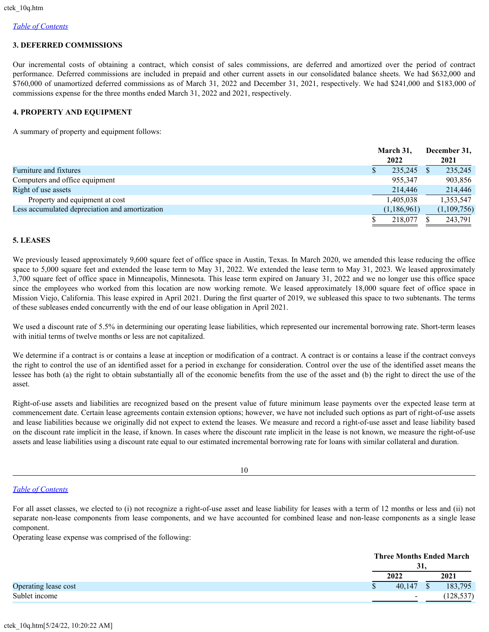# **3. DEFERRED COMMISSIONS**

Our incremental costs of obtaining a contract, which consist of sales commissions, are deferred and amortized over the period of contract performance. Deferred commissions are included in prepaid and other current assets in our consolidated balance sheets. We had \$632,000 and \$760,000 of unamortized deferred commissions as of March 31, 2022 and December 31, 2021, respectively. We had \$241,000 and \$183,000 of commissions expense for the three months ended March 31, 2022 and 2021, respectively.

# **4. PROPERTY AND EQUIPMENT**

A summary of property and equipment follows:

|                                                |    | March 31,<br>2022 | December 31,<br>2021 |
|------------------------------------------------|----|-------------------|----------------------|
| Furniture and fixtures                         | ۰D | 235,245           | 235,245              |
| Computers and office equipment                 |    | 955,347           | 903,856              |
| Right of use assets                            |    | 214,446           | 214,446              |
| Property and equipment at cost                 |    | 1,405,038         | 1,353,547            |
| Less accumulated depreciation and amortization |    | (1,186,961)       | (1,109,756)          |
|                                                |    | 218,077           | 243,791              |

#### **5. LEASES**

We previously leased approximately 9,600 square feet of office space in Austin, Texas. In March 2020, we amended this lease reducing the office space to 5,000 square feet and extended the lease term to May 31, 2022. We extended the lease term to May 31, 2023. We leased approximately 3,700 square feet of office space in Minneapolis, Minnesota. This lease term expired on January 31, 2022 and we no longer use this office space since the employees who worked from this location are now working remote. We leased approximately 18,000 square feet of office space in Mission Viejo, California. This lease expired in April 2021. During the first quarter of 2019, we subleased this space to two subtenants. The terms of these subleases ended concurrently with the end of our lease obligation in April 2021.

We used a discount rate of 5.5% in determining our operating lease liabilities, which represented our incremental borrowing rate. Short-term leases with initial terms of twelve months or less are not capitalized.

We determine if a contract is or contains a lease at inception or modification of a contract. A contract is or contains a lease if the contract conveys the right to control the use of an identified asset for a period in exchange for consideration. Control over the use of the identified asset means the lessee has both (a) the right to obtain substantially all of the economic benefits from the use of the asset and (b) the right to direct the use of the asset.

Right-of-use assets and liabilities are recognized based on the present value of future minimum lease payments over the expected lease term at commencement date. Certain lease agreements contain extension options; however, we have not included such options as part of right-of-use assets and lease liabilities because we originally did not expect to extend the leases. We measure and record a right-of-use asset and lease liability based on the discount rate implicit in the lease, if known. In cases where the discount rate implicit in the lease is not known, we measure the right-of-use assets and lease liabilities using a discount rate equal to our estimated incremental borrowing rate for loans with similar collateral and duration.

10

# *[Table of Contents](#page-1-0)*

For all asset classes, we elected to (i) not recognize a right-of-use asset and lease liability for leases with a term of 12 months or less and (ii) not separate non-lease components from lease components, and we have accounted for combined lease and non-lease components as a single lease component.

Operating lease expense was comprised of the following:

|                      | <b>Three Months Ended March</b><br>31, |            |
|----------------------|----------------------------------------|------------|
|                      | 2022                                   | 2021       |
| Operating lease cost | 40,147                                 | 183,795    |
| Sublet income        |                                        | (128, 537) |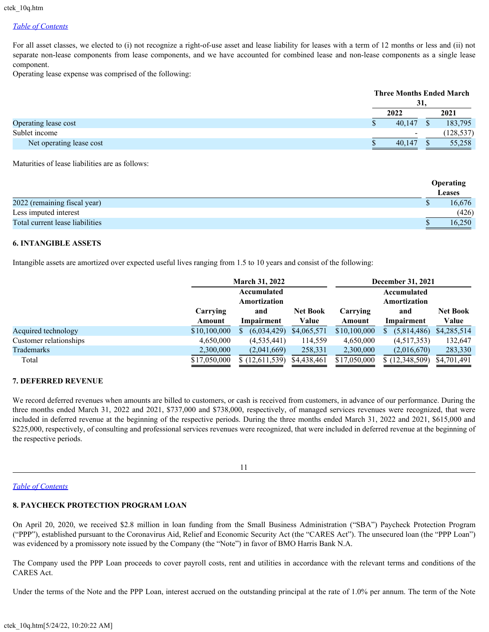For all asset classes, we elected to (i) not recognize a right-of-use asset and lease liability for leases with a term of 12 months or less and (ii) not separate non-lease components from lease components, and we have accounted for combined lease and non-lease components as a single lease component.

Operating lease expense was comprised of the following:

|                          | 31,                      | <b>Three Months Ended March</b> |
|--------------------------|--------------------------|---------------------------------|
|                          | 2022                     | 2021                            |
| Operating lease cost     | 40.147                   | 183,795                         |
| Sublet income            | $\overline{\phantom{a}}$ | (128, 537)                      |
| Net operating lease cost | 40.147                   | 55,258                          |

Maturities of lease liabilities are as follows:

|                                 | <b>Operating</b><br><b>Leases</b> |
|---------------------------------|-----------------------------------|
| 2022 (remaining fiscal year)    | 16,676                            |
| Less imputed interest           | (426)                             |
| Total current lease liabilities | 16,250                            |

# **6. INTANGIBLE ASSETS**

Intangible assets are amortized over expected useful lives ranging from 1.5 to 10 years and consist of the following:

|                        | <b>March 31, 2022</b> |                |                 | <b>December 31, 2021</b> |              |                 |  |  |
|------------------------|-----------------------|----------------|-----------------|--------------------------|--------------|-----------------|--|--|
|                        |                       | Accumulated    |                 |                          | Accumulated  |                 |  |  |
|                        |                       | Amortization   |                 |                          | Amortization |                 |  |  |
|                        | Carrying              | and            | <b>Net Book</b> | Carrying                 | and          | <b>Net Book</b> |  |  |
|                        | Amount                | Impairment     | Value           | Amount                   | Impairment   | Value           |  |  |
| Acquired technology    | \$10,100,000          | (6,034,429)    | \$4,065,571     | \$10,100,000             | (5,814,486)  | \$4,285,514     |  |  |
| Customer relationships | 4,650,000             | (4, 535, 441)  | 114,559         | 4,650,000                | (4,517,353)  | 132,647         |  |  |
| Trademarks             | 2,300,000             | (2,041,669)    | 258,331         | 2,300,000                | (2,016,670)  | 283,330         |  |  |
| Total                  | \$17,050,000          | \$(12,611,539) | \$4,438,461     | \$17,050,000             | (12,348,509) | \$4,701,491     |  |  |

# **7. DEFERRED REVENUE**

We record deferred revenues when amounts are billed to customers, or cash is received from customers, in advance of our performance. During the three months ended March 31, 2022 and 2021, \$737,000 and \$738,000, respectively, of managed services revenues were recognized, that were included in deferred revenue at the beginning of the respective periods. During the three months ended March 31, 2022 and 2021, \$615,000 and \$225,000, respectively, of consulting and professional services revenues were recognized, that were included in deferred revenue at the beginning of the respective periods.

11

# *[Table of Contents](#page-1-0)*

# **8. PAYCHECK PROTECTION PROGRAM LOAN**

On April 20, 2020, we received \$2.8 million in loan funding from the Small Business Administration ("SBA") Paycheck Protection Program ("PPP"), established pursuant to the Coronavirus Aid, Relief and Economic Security Act (the "CARES Act"). The unsecured loan (the "PPP Loan") was evidenced by a promissory note issued by the Company (the "Note") in favor of BMO Harris Bank N.A.

The Company used the PPP Loan proceeds to cover payroll costs, rent and utilities in accordance with the relevant terms and conditions of the CARES Act.

Under the terms of the Note and the PPP Loan, interest accrued on the outstanding principal at the rate of 1.0% per annum. The term of the Note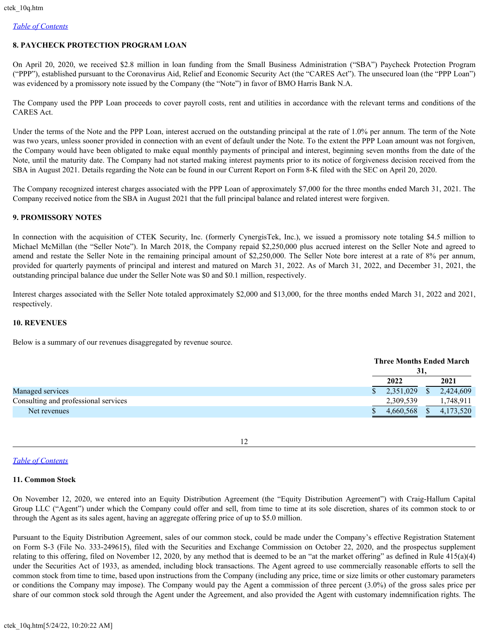# **8. PAYCHECK PROTECTION PROGRAM LOAN**

On April 20, 2020, we received \$2.8 million in loan funding from the Small Business Administration ("SBA") Paycheck Protection Program ("PPP"), established pursuant to the Coronavirus Aid, Relief and Economic Security Act (the "CARES Act"). The unsecured loan (the "PPP Loan") was evidenced by a promissory note issued by the Company (the "Note") in favor of BMO Harris Bank N.A.

The Company used the PPP Loan proceeds to cover payroll costs, rent and utilities in accordance with the relevant terms and conditions of the CARES Act.

Under the terms of the Note and the PPP Loan, interest accrued on the outstanding principal at the rate of 1.0% per annum. The term of the Note was two years, unless sooner provided in connection with an event of default under the Note. To the extent the PPP Loan amount was not forgiven, the Company would have been obligated to make equal monthly payments of principal and interest, beginning seven months from the date of the Note, until the maturity date. The Company had not started making interest payments prior to its notice of forgiveness decision received from the SBA in August 2021. Details regarding the Note can be found in our Current Report on Form 8-K filed with the SEC on April 20, 2020.

The Company recognized interest charges associated with the PPP Loan of approximately \$7,000 for the three months ended March 31, 2021. The Company received notice from the SBA in August 2021 that the full principal balance and related interest were forgiven.

# **9. PROMISSORY NOTES**

In connection with the acquisition of CTEK Security, Inc. (formerly CynergisTek, Inc.), we issued a promissory note totaling \$4.5 million to Michael McMillan (the "Seller Note"). In March 2018, the Company repaid \$2,250,000 plus accrued interest on the Seller Note and agreed to amend and restate the Seller Note in the remaining principal amount of \$2,250,000. The Seller Note bore interest at a rate of 8% per annum, provided for quarterly payments of principal and interest and matured on March 31, 2022. As of March 31, 2022, and December 31, 2021, the outstanding principal balance due under the Seller Note was \$0 and \$0.1 million, respectively.

Interest charges associated with the Seller Note totaled approximately \$2,000 and \$13,000, for the three months ended March 31, 2022 and 2021, respectively.

# **10. REVENUES**

Below is a summary of our revenues disaggregated by revenue source.

|                                      |           | 31, | <b>Three Months Ended March</b> |
|--------------------------------------|-----------|-----|---------------------------------|
|                                      | 2022      |     | 2021                            |
| Managed services                     | 2,351,029 | S.  | 2,424,609                       |
| Consulting and professional services | 2,309,539 |     | 1,748,911                       |
| Net revenues                         | 4,660,568 |     | 4,173,520                       |
|                                      |           |     |                                 |

12

# *[Table of Contents](#page-1-0)*

# **11. Common Stock**

On November 12, 2020, we entered into an Equity Distribution Agreement (the "Equity Distribution Agreement") with Craig-Hallum Capital Group LLC ("Agent") under which the Company could offer and sell, from time to time at its sole discretion, shares of its common stock to or through the Agent as its sales agent, having an aggregate offering price of up to \$5.0 million.

Pursuant to the Equity Distribution Agreement, sales of our common stock, could be made under the Company's effective Registration Statement on Form S-3 (File No. 333-249615), filed with the Securities and Exchange Commission on October 22, 2020, and the prospectus supplement relating to this offering, filed on November 12, 2020, by any method that is deemed to be an "at the market offering" as defined in Rule 415(a)(4) under the Securities Act of 1933, as amended, including block transactions. The Agent agreed to use commercially reasonable efforts to sell the common stock from time to time, based upon instructions from the Company (including any price, time or size limits or other customary parameters or conditions the Company may impose). The Company would pay the Agent a commission of three percent (3.0%) of the gross sales price per share of our common stock sold through the Agent under the Agreement, and also provided the Agent with customary indemnification rights. The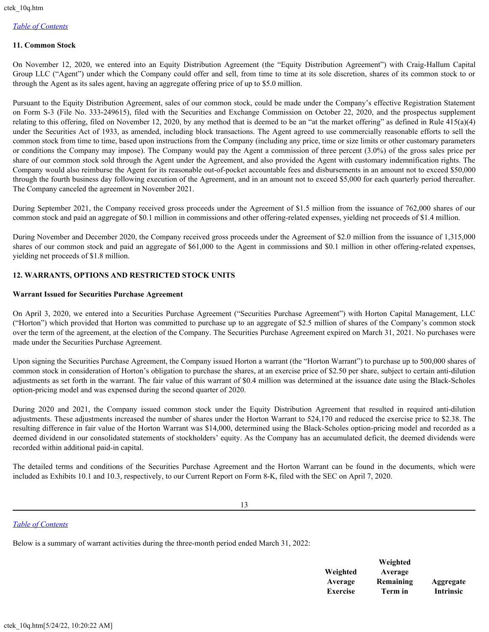#### **11. Common Stock**

On November 12, 2020, we entered into an Equity Distribution Agreement (the "Equity Distribution Agreement") with Craig-Hallum Capital Group LLC ("Agent") under which the Company could offer and sell, from time to time at its sole discretion, shares of its common stock to or through the Agent as its sales agent, having an aggregate offering price of up to \$5.0 million.

Pursuant to the Equity Distribution Agreement, sales of our common stock, could be made under the Company's effective Registration Statement on Form S-3 (File No. 333-249615), filed with the Securities and Exchange Commission on October 22, 2020, and the prospectus supplement relating to this offering, filed on November 12, 2020, by any method that is deemed to be an "at the market offering" as defined in Rule  $415(a)(4)$ under the Securities Act of 1933, as amended, including block transactions. The Agent agreed to use commercially reasonable efforts to sell the common stock from time to time, based upon instructions from the Company (including any price, time or size limits or other customary parameters or conditions the Company may impose). The Company would pay the Agent a commission of three percent (3.0%) of the gross sales price per share of our common stock sold through the Agent under the Agreement, and also provided the Agent with customary indemnification rights. The Company would also reimburse the Agent for its reasonable out-of-pocket accountable fees and disbursements in an amount not to exceed \$50,000 through the fourth business day following execution of the Agreement, and in an amount not to exceed \$5,000 for each quarterly period thereafter. The Company canceled the agreement in November 2021.

During September 2021, the Company received gross proceeds under the Agreement of \$1.5 million from the issuance of 762,000 shares of our common stock and paid an aggregate of \$0.1 million in commissions and other offering-related expenses, yielding net proceeds of \$1.4 million.

During November and December 2020, the Company received gross proceeds under the Agreement of \$2.0 million from the issuance of 1,315,000 shares of our common stock and paid an aggregate of \$61,000 to the Agent in commissions and \$0.1 million in other offering-related expenses, yielding net proceeds of \$1.8 million.

# **12. WARRANTS, OPTIONS AND RESTRICTED STOCK UNITS**

#### **Warrant Issued for Securities Purchase Agreement**

On April 3, 2020, we entered into a Securities Purchase Agreement ("Securities Purchase Agreement") with Horton Capital Management, LLC ("Horton") which provided that Horton was committed to purchase up to an aggregate of \$2.5 million of shares of the Company's common stock over the term of the agreement, at the election of the Company. The Securities Purchase Agreement expired on March 31, 2021. No purchases were made under the Securities Purchase Agreement.

Upon signing the Securities Purchase Agreement, the Company issued Horton a warrant (the "Horton Warrant") to purchase up to 500,000 shares of common stock in consideration of Horton's obligation to purchase the shares, at an exercise price of \$2.50 per share, subject to certain anti-dilution adjustments as set forth in the warrant. The fair value of this warrant of \$0.4 million was determined at the issuance date using the Black-Scholes option-pricing model and was expensed during the second quarter of 2020.

During 2020 and 2021, the Company issued common stock under the Equity Distribution Agreement that resulted in required anti-dilution adjustments. These adjustments increased the number of shares under the Horton Warrant to 524,170 and reduced the exercise price to \$2.38. The resulting difference in fair value of the Horton Warrant was \$14,000, determined using the Black-Scholes option-pricing model and recorded as a deemed dividend in our consolidated statements of stockholders' equity. As the Company has an accumulated deficit, the deemed dividends were recorded within additional paid-in capital.

The detailed terms and conditions of the Securities Purchase Agreement and the Horton Warrant can be found in the documents, which were included as Exhibits 10.1 and 10.3, respectively, to our Current Report on Form 8-K, filed with the SEC on April 7, 2020.

13

#### *[Table of Contents](#page-1-0)*

Below is a summary of warrant activities during the three-month period ended March 31, 2022:

|                 | w eignted |                  |
|-----------------|-----------|------------------|
| Weighted        | Average   |                  |
| Average         | Remaining | Aggregate        |
| <b>Exercise</b> | Term in   | <b>Intrinsic</b> |

**Weighted**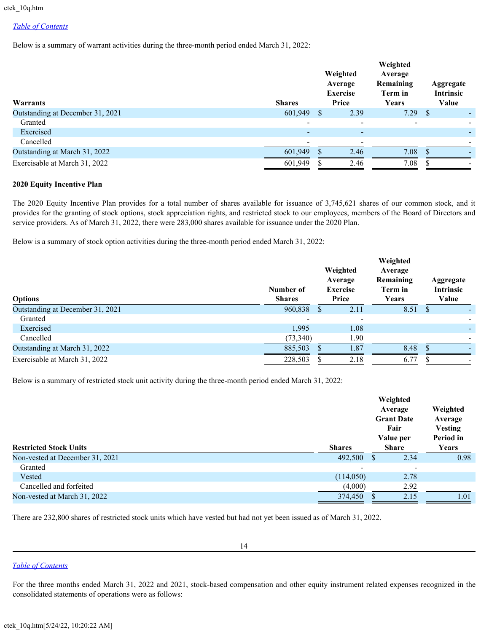Below is a summary of warrant activities during the three-month period ended March 31, 2022:

| Warrants                         | <b>Shares</b> | Weighted<br>Average<br><b>Exercise</b><br>Price | Weighted<br>Average<br>Remaining<br>Term in<br>Years | Aggregate<br><b>Intrinsic</b><br>Value |
|----------------------------------|---------------|-------------------------------------------------|------------------------------------------------------|----------------------------------------|
| Outstanding at December 31, 2021 | 601,949       | 2.39                                            | 7.29                                                 | <sup>2</sup>                           |
| Granted                          |               |                                                 |                                                      |                                        |
| Exercised                        |               |                                                 |                                                      |                                        |
| Cancelled                        |               |                                                 |                                                      |                                        |
| Outstanding at March 31, 2022    | 601,949       | 2.46                                            | 7.08                                                 |                                        |
| Exercisable at March 31, 2022    | 601,949       | 2.46                                            | 7.08                                                 |                                        |

#### **2020 Equity Incentive Plan**

The 2020 Equity Incentive Plan provides for a total number of shares available for issuance of 3,745,621 shares of our common stock, and it provides for the granting of stock options, stock appreciation rights, and restricted stock to our employees, members of the Board of Directors and service providers. As of March 31, 2022, there were 283,000 shares available for issuance under the 2020 Plan.

Below is a summary of stock option activities during the three-month period ended March 31, 2022:

| <b>Options</b>                   | Number of<br><b>Shares</b> |    | Weighted<br>Average<br><b>Exercise</b><br>Price | Weighted<br>Average<br>Remaining<br>Term in<br>Years | Aggregate<br>Intrinsic<br>Value |
|----------------------------------|----------------------------|----|-------------------------------------------------|------------------------------------------------------|---------------------------------|
| Outstanding at December 31, 2021 | 960,838                    | -S | 2.11                                            | 8.51                                                 | -S                              |
| Granted                          |                            |    | $\overline{\phantom{a}}$                        |                                                      |                                 |
| Exercised                        | 1,995                      |    | 1.08                                            |                                                      |                                 |
| Cancelled                        | (73,340)                   |    | 1.90                                            |                                                      |                                 |
| Outstanding at March 31, 2022    | 885,503                    |    | 1.87                                            | 8.48                                                 |                                 |
| Exercisable at March 31, 2022    | 228,503                    |    | 2.18                                            | 6.77                                                 |                                 |

Below is a summary of restricted stock unit activity during the three-month period ended March 31, 2022:

| <b>Restricted Stock Units</b>   | <b>Shares</b>            | Weighted<br>Average<br><b>Grant Date</b><br>Fair<br>Value per<br><b>Share</b> |                              | Weighted<br>Average<br><b>Vesting</b><br>Period in<br>Years |  |
|---------------------------------|--------------------------|-------------------------------------------------------------------------------|------------------------------|-------------------------------------------------------------|--|
| Non-vested at December 31, 2021 | 492,500                  | -S                                                                            | 2.34                         | 0.98                                                        |  |
| Granted                         | $\overline{\phantom{a}}$ |                                                                               | $\qquad \qquad \blacksquare$ |                                                             |  |
| Vested                          | (114,050)                |                                                                               | 2.78                         |                                                             |  |
| Cancelled and forfeited         | (4,000)                  |                                                                               | 2.92                         |                                                             |  |
| Non-vested at March 31, 2022    | 374,450                  |                                                                               | 2.15                         | 1.01                                                        |  |

There are 232,800 shares of restricted stock units which have vested but had not yet been issued as of March 31, 2022.

14

# *[Table of Contents](#page-1-0)*

For the three months ended March 31, 2022 and 2021, stock-based compensation and other equity instrument related expenses recognized in the consolidated statements of operations were as follows: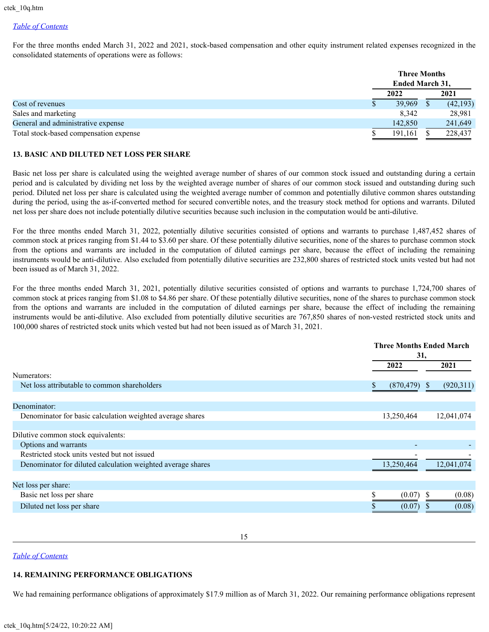For the three months ended March 31, 2022 and 2021, stock-based compensation and other equity instrument related expenses recognized in the consolidated statements of operations were as follows:

|                                        |      | <b>Three Months</b><br><b>Ended March 31,</b> |           |
|----------------------------------------|------|-----------------------------------------------|-----------|
|                                        | 2022 |                                               | 2021      |
| Cost of revenues                       |      | 39,969                                        | (42, 193) |
| Sales and marketing                    |      | 8.342                                         | 28,981    |
| General and administrative expense     |      | 142,850                                       | 241,649   |
| Total stock-based compensation expense |      | 191.161                                       | 228,437   |

## **13. BASIC AND DILUTED NET LOSS PER SHARE**

Basic net loss per share is calculated using the weighted average number of shares of our common stock issued and outstanding during a certain period and is calculated by dividing net loss by the weighted average number of shares of our common stock issued and outstanding during such period. Diluted net loss per share is calculated using the weighted average number of common and potentially dilutive common shares outstanding during the period, using the as-if-converted method for secured convertible notes, and the treasury stock method for options and warrants. Diluted net loss per share does not include potentially dilutive securities because such inclusion in the computation would be anti-dilutive.

For the three months ended March 31, 2022, potentially dilutive securities consisted of options and warrants to purchase 1,487,452 shares of common stock at prices ranging from \$1.44 to \$3.60 per share. Of these potentially dilutive securities, none of the shares to purchase common stock from the options and warrants are included in the computation of diluted earnings per share, because the effect of including the remaining instruments would be anti-dilutive. Also excluded from potentially dilutive securities are 232,800 shares of restricted stock units vested but had not been issued as of March 31, 2022.

For the three months ended March 31, 2021, potentially dilutive securities consisted of options and warrants to purchase 1,724,700 shares of common stock at prices ranging from \$1.08 to \$4.86 per share. Of these potentially dilutive securities, none of the shares to purchase common stock from the options and warrants are included in the computation of diluted earnings per share, because the effect of including the remaining instruments would be anti-dilutive. Also excluded from potentially dilutive securities are 767,850 shares of non-vested restricted stock units and 100,000 shares of restricted stock units which vested but had not been issued as of March 31, 2021.

|                                                             |                 | <b>Three Months Ended March</b><br>31, |  |
|-------------------------------------------------------------|-----------------|----------------------------------------|--|
|                                                             | 2022            | 2021                                   |  |
| Numerators:                                                 |                 |                                        |  |
| Net loss attributable to common shareholders                | (870, 479)<br>S | (920, 311)<br><sup>S</sup>             |  |
|                                                             |                 |                                        |  |
| Denominator:                                                |                 |                                        |  |
| Denominator for basic calculation weighted average shares   | 13,250,464      | 12,041,074                             |  |
|                                                             |                 |                                        |  |
| Dilutive common stock equivalents:                          |                 |                                        |  |
| Options and warrants                                        |                 |                                        |  |
| Restricted stock units vested but not issued                |                 |                                        |  |
| Denominator for diluted calculation weighted average shares | 13,250,464      | 12,041,074                             |  |
|                                                             |                 |                                        |  |
| Net loss per share:                                         |                 |                                        |  |
| Basic net loss per share                                    | (0.07)<br>ъ     | (0.08)<br>-S                           |  |
| Diluted net loss per share                                  | (0.07)          | (0.08)                                 |  |

15

#### *[Table of Contents](#page-1-0)*

# **14. REMAINING PERFORMANCE OBLIGATIONS**

We had remaining performance obligations of approximately \$17.9 million as of March 31, 2022. Our remaining performance obligations represent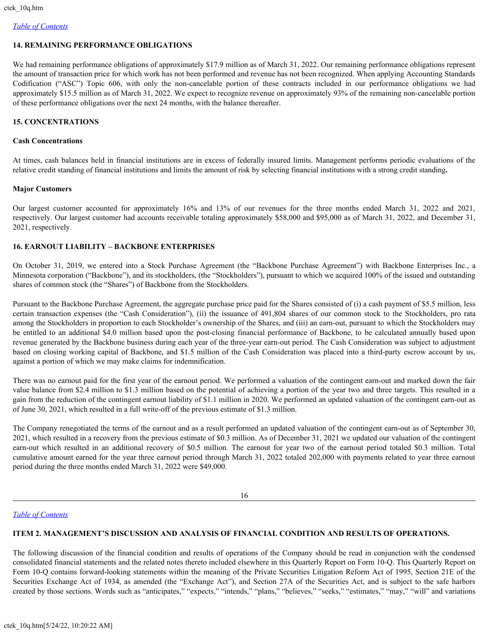# **14. REMAINING PERFORMANCE OBLIGATIONS**

We had remaining performance obligations of approximately \$17.9 million as of March 31, 2022. Our remaining performance obligations represent the amount of transaction price for which work has not been performed and revenue has not been recognized. When applying Accounting Standards Codification ("ASC") Topic 606, with only the non-cancelable portion of these contracts included in our performance obligations we had approximately \$15.5 million as of March 31, 2022. We expect to recognize revenue on approximately 93% of the remaining non-cancelable portion of these performance obligations over the next 24 months, with the balance thereafter.

# **15. CONCENTRATIONS**

#### **Cash Concentrations**

At times, cash balances held in financial institutions are in excess of federally insured limits. Management performs periodic evaluations of the relative credit standing of financial institutions and limits the amount of risk by selecting financial institutions with a strong credit standing**.**

#### **Major Customers**

Our largest customer accounted for approximately 16% and 13% of our revenues for the three months ended March 31, 2022 and 2021, respectively. Our largest customer had accounts receivable totaling approximately \$58,000 and \$95,000 as of March 31, 2022, and December 31, 2021, respectively.

# **16. EARNOUT LIABILITY – BACKBONE ENTERPRISES**

On October 31, 2019, we entered into a Stock Purchase Agreement (the "Backbone Purchase Agreement") with Backbone Enterprises Inc., a Minnesota corporation ("Backbone"), and its stockholders, (the "Stockholders"), pursuant to which we acquired 100% of the issued and outstanding shares of common stock (the "Shares") of Backbone from the Stockholders.

Pursuant to the Backbone Purchase Agreement, the aggregate purchase price paid for the Shares consisted of (i) a cash payment of \$5.5 million, less certain transaction expenses (the "Cash Consideration"), (ii) the issuance of 491,804 shares of our common stock to the Stockholders, pro rata among the Stockholders in proportion to each Stockholder's ownership of the Shares, and (iii) an earn-out, pursuant to which the Stockholders may be entitled to an additional \$4.0 million based upon the post-closing financial performance of Backbone, to be calculated annually based upon revenue generated by the Backbone business during each year of the three-year earn-out period. The Cash Consideration was subject to adjustment based on closing working capital of Backbone, and \$1.5 million of the Cash Consideration was placed into a third-party escrow account by us, against a portion of which we may make claims for indemnification.

There was no earnout paid for the first year of the earnout period. We performed a valuation of the contingent earn-out and marked down the fair value balance from \$2.4 million to \$1.3 million based on the potential of achieving a portion of the year two and three targets. This resulted in a gain from the reduction of the contingent earnout liability of \$1.1 million in 2020. We performed an updated valuation of the contingent earn-out as of June 30, 2021, which resulted in a full write-off of the previous estimate of \$1.3 million.

The Company renegotiated the terms of the earnout and as a result performed an updated valuation of the contingent earn-out as of September 30, 2021, which resulted in a recovery from the previous estimate of \$0.3 million. As of December 31, 2021 we updated our valuation of the contingent earn-out which resulted in an additional recovery of \$0.5 million. The earnout for year two of the earnout period totaled \$0.3 million. Total cumulative amount earned for the year three earnout period through March 31, 2022 totaled 202,000 with payments related to year three earnout period during the three months ended March 31, 2022 were \$49,000.

16

# *[Table of Contents](#page-1-0)*

# **ITEM 2. MANAGEMENT'S DISCUSSION AND ANALYSIS OF FINANCIAL CONDITION AND RESULTS OF OPERATIONS.**

The following discussion of the financial condition and results of operations of the Company should be read in conjunction with the condensed consolidated financial statements and the related notes thereto included elsewhere in this Quarterly Report on Form 10-Q. This Quarterly Report on Form 10-Q contains forward-looking statements within the meaning of the Private Securities Litigation Reform Act of 1995, Section 21E of the Securities Exchange Act of 1934, as amended (the "Exchange Act"), and Section 27A of the Securities Act, and is subject to the safe harbors created by those sections. Words such as "anticipates," "expects," "intends," "plans," "believes," "seeks," "estimates," "may," "will" and variations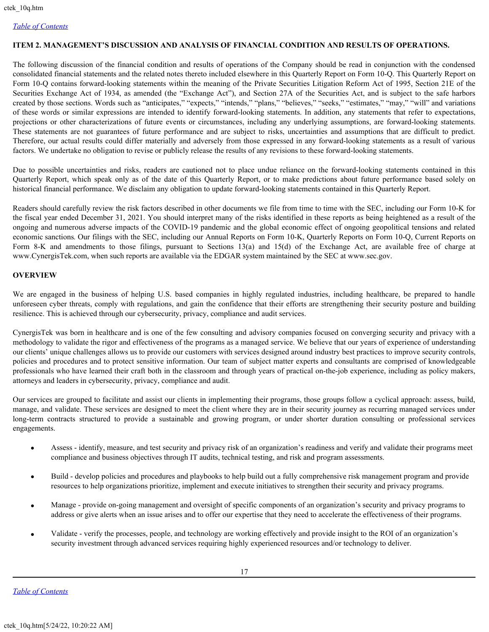# <span id="page-16-0"></span>**ITEM 2. MANAGEMENT'S DISCUSSION AND ANALYSIS OF FINANCIAL CONDITION AND RESULTS OF OPERATIONS.**

The following discussion of the financial condition and results of operations of the Company should be read in conjunction with the condensed consolidated financial statements and the related notes thereto included elsewhere in this Quarterly Report on Form 10-Q. This Quarterly Report on Form 10-Q contains forward-looking statements within the meaning of the Private Securities Litigation Reform Act of 1995, Section 21E of the Securities Exchange Act of 1934, as amended (the "Exchange Act"), and Section 27A of the Securities Act, and is subject to the safe harbors created by those sections. Words such as "anticipates," "expects," "intends," "plans," "believes," "seeks," "estimates," "may," "will" and variations of these words or similar expressions are intended to identify forward-looking statements. In addition, any statements that refer to expectations, projections or other characterizations of future events or circumstances, including any underlying assumptions, are forward-looking statements. These statements are not guarantees of future performance and are subject to risks, uncertainties and assumptions that are difficult to predict. Therefore, our actual results could differ materially and adversely from those expressed in any forward-looking statements as a result of various factors. We undertake no obligation to revise or publicly release the results of any revisions to these forward-looking statements.

Due to possible uncertainties and risks, readers are cautioned not to place undue reliance on the forward-looking statements contained in this Quarterly Report, which speak only as of the date of this Quarterly Report, or to make predictions about future performance based solely on historical financial performance. We disclaim any obligation to update forward-looking statements contained in this Quarterly Report.

Readers should carefully review the risk factors described in other documents we file from time to time with the SEC, including our Form 10-K for the fiscal year ended December 31, 2021. You should interpret many of the risks identified in these reports as being heightened as a result of the ongoing and numerous adverse impacts of the COVID-19 pandemic and the global economic effect of ongoing geopolitical tensions and related economic sanctions*.* Our filings with the SEC, including our Annual Reports on Form 10-K, Quarterly Reports on Form 10-Q, Current Reports on Form 8-K and amendments to those filings, pursuant to Sections 13(a) and 15(d) of the Exchange Act, are available free of charge at www.CynergisTek.com, when such reports are available via the EDGAR system maintained by the SEC at www.sec.gov.

# **OVERVIEW**

We are engaged in the business of helping U.S. based companies in highly regulated industries, including healthcare, be prepared to handle unforeseen cyber threats, comply with regulations, and gain the confidence that their efforts are strengthening their security posture and building resilience. This is achieved through our cybersecurity, privacy, compliance and audit services.

CynergisTek was born in healthcare and is one of the few consulting and advisory companies focused on converging security and privacy with a methodology to validate the rigor and effectiveness of the programs as a managed service. We believe that our years of experience of understanding our clients' unique challenges allows us to provide our customers with services designed around industry best practices to improve security controls, policies and procedures and to protect sensitive information. Our team of subject matter experts and consultants are comprised of knowledgeable professionals who have learned their craft both in the classroom and through years of practical on-the-job experience, including as policy makers, attorneys and leaders in cybersecurity, privacy, compliance and audit.

Our services are grouped to facilitate and assist our clients in implementing their programs, those groups follow a cyclical approach: assess, build, manage, and validate. These services are designed to meet the client where they are in their security journey as recurring managed services under long-term contracts structured to provide a sustainable and growing program, or under shorter duration consulting or professional services engagements.

- · Assess identify, measure, and test security and privacy risk of an organization's readiness and verify and validate their programs meet compliance and business objectives through IT audits, technical testing, and risk and program assessments.
- · Build develop policies and procedures and playbooks to help build out a fully comprehensive risk management program and provide resources to help organizations prioritize, implement and execute initiatives to strengthen their security and privacy programs.
- · Manage provide on-going management and oversight of specific components of an organization's security and privacy programs to address or give alerts when an issue arises and to offer our expertise that they need to accelerate the effectiveness of their programs.
- · Validate verify the processes, people, and technology are working effectively and provide insight to the ROI of an organization's security investment through advanced services requiring highly experienced resources and/or technology to deliver.

*[Table of Contents](#page-1-0)*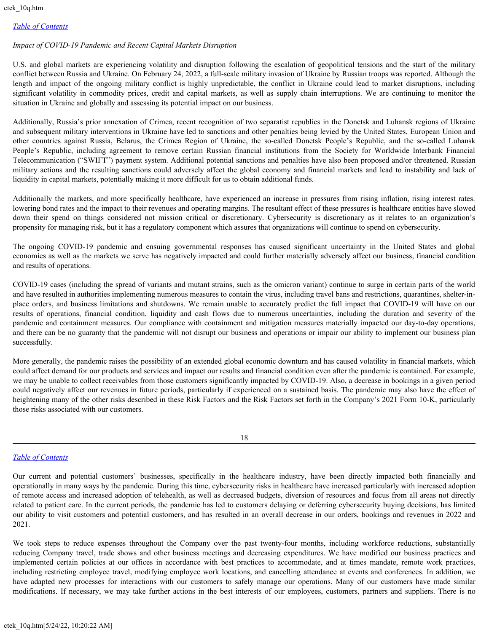# *Impact of COVID-19 Pandemic and Recent Capital Markets Disruption*

U.S. and global markets are experiencing volatility and disruption following the escalation of geopolitical tensions and the start of the military conflict between Russia and Ukraine. On February 24, 2022, a full-scale military invasion of Ukraine by Russian troops was reported. Although the length and impact of the ongoing military conflict is highly unpredictable, the conflict in Ukraine could lead to market disruptions, including significant volatility in commodity prices, credit and capital markets, as well as supply chain interruptions. We are continuing to monitor the situation in Ukraine and globally and assessing its potential impact on our business.

Additionally, Russia's prior annexation of Crimea, recent recognition of two separatist republics in the Donetsk and Luhansk regions of Ukraine and subsequent military interventions in Ukraine have led to sanctions and other penalties being levied by the United States, European Union and other countries against Russia, Belarus, the Crimea Region of Ukraine, the so-called Donetsk People's Republic, and the so-called Luhansk People's Republic, including agreement to remove certain Russian financial institutions from the Society for Worldwide Interbank Financial Telecommunication ("SWIFT") payment system. Additional potential sanctions and penalties have also been proposed and/or threatened. Russian military actions and the resulting sanctions could adversely affect the global economy and financial markets and lead to instability and lack of liquidity in capital markets, potentially making it more difficult for us to obtain additional funds.

Additionally the markets, and more specifically healthcare, have experienced an increase in pressures from rising inflation, rising interest rates. lowering bond rates and the impact to their revenues and operating margins. The resultant effect of these pressures is healthcare entities have slowed down their spend on things considered not mission critical or discretionary. Cybersecurity is discretionary as it relates to an organization's propensity for managing risk, but it has a regulatory component which assures that organizations will continue to spend on cybersecurity.

The ongoing COVID-19 pandemic and ensuing governmental responses has caused significant uncertainty in the United States and global economies as well as the markets we serve has negatively impacted and could further materially adversely affect our business, financial condition and results of operations.

COVID-19 cases (including the spread of variants and mutant strains, such as the omicron variant) continue to surge in certain parts of the world and have resulted in authorities implementing numerous measures to contain the virus, including travel bans and restrictions, quarantines, shelter-inplace orders, and business limitations and shutdowns. We remain unable to accurately predict the full impact that COVID-19 will have on our results of operations, financial condition, liquidity and cash flows due to numerous uncertainties, including the duration and severity of the pandemic and containment measures. Our compliance with containment and mitigation measures materially impacted our day-to-day operations, and there can be no guaranty that the pandemic will not disrupt our business and operations or impair our ability to implement our business plan successfully.

More generally, the pandemic raises the possibility of an extended global economic downturn and has caused volatility in financial markets, which could affect demand for our products and services and impact our results and financial condition even after the pandemic is contained. For example, we may be unable to collect receivables from those customers significantly impacted by COVID-19. Also, a decrease in bookings in a given period could negatively affect our revenues in future periods, particularly if experienced on a sustained basis. The pandemic may also have the effect of heightening many of the other risks described in these Risk Factors and the Risk Factors set forth in the Company's 2021 Form 10-K, particularly those risks associated with our customers.

18

# *[Table of Contents](#page-1-0)*

Our current and potential customers' businesses, specifically in the healthcare industry, have been directly impacted both financially and operationally in many ways by the pandemic. During this time, cybersecurity risks in healthcare have increased particularly with increased adoption of remote access and increased adoption of telehealth, as well as decreased budgets, diversion of resources and focus from all areas not directly related to patient care. In the current periods, the pandemic has led to customers delaying or deferring cybersecurity buying decisions, has limited our ability to visit customers and potential customers, and has resulted in an overall decrease in our orders, bookings and revenues in 2022 and 2021.

We took steps to reduce expenses throughout the Company over the past twenty-four months, including workforce reductions, substantially reducing Company travel, trade shows and other business meetings and decreasing expenditures. We have modified our business practices and implemented certain policies at our offices in accordance with best practices to accommodate, and at times mandate, remote work practices, including restricting employee travel, modifying employee work locations, and cancelling attendance at events and conferences. In addition, we have adapted new processes for interactions with our customers to safely manage our operations. Many of our customers have made similar modifications. If necessary, we may take further actions in the best interests of our employees, customers, partners and suppliers. There is no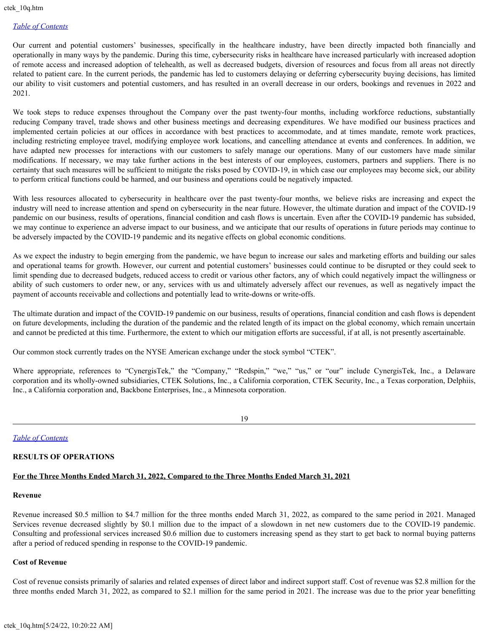Our current and potential customers' businesses, specifically in the healthcare industry, have been directly impacted both financially and operationally in many ways by the pandemic. During this time, cybersecurity risks in healthcare have increased particularly with increased adoption of remote access and increased adoption of telehealth, as well as decreased budgets, diversion of resources and focus from all areas not directly related to patient care. In the current periods, the pandemic has led to customers delaying or deferring cybersecurity buying decisions, has limited our ability to visit customers and potential customers, and has resulted in an overall decrease in our orders, bookings and revenues in 2022 and 2021.

We took steps to reduce expenses throughout the Company over the past twenty-four months, including workforce reductions, substantially reducing Company travel, trade shows and other business meetings and decreasing expenditures. We have modified our business practices and implemented certain policies at our offices in accordance with best practices to accommodate, and at times mandate, remote work practices, including restricting employee travel, modifying employee work locations, and cancelling attendance at events and conferences. In addition, we have adapted new processes for interactions with our customers to safely manage our operations. Many of our customers have made similar modifications. If necessary, we may take further actions in the best interests of our employees, customers, partners and suppliers. There is no certainty that such measures will be sufficient to mitigate the risks posed by COVID-19, in which case our employees may become sick, our ability to perform critical functions could be harmed, and our business and operations could be negatively impacted.

With less resources allocated to cybersecurity in healthcare over the past twenty-four months, we believe risks are increasing and expect the industry will need to increase attention and spend on cybersecurity in the near future. However, the ultimate duration and impact of the COVID-19 pandemic on our business, results of operations, financial condition and cash flows is uncertain. Even after the COVID-19 pandemic has subsided, we may continue to experience an adverse impact to our business, and we anticipate that our results of operations in future periods may continue to be adversely impacted by the COVID-19 pandemic and its negative effects on global economic conditions.

As we expect the industry to begin emerging from the pandemic, we have begun to increase our sales and marketing efforts and building our sales and operational teams for growth. However, our current and potential customers' businesses could continue to be disrupted or they could seek to limit spending due to decreased budgets, reduced access to credit or various other factors, any of which could negatively impact the willingness or ability of such customers to order new, or any, services with us and ultimately adversely affect our revenues, as well as negatively impact the payment of accounts receivable and collections and potentially lead to write-downs or write-offs.

The ultimate duration and impact of the COVID-19 pandemic on our business, results of operations, financial condition and cash flows is dependent on future developments, including the duration of the pandemic and the related length of its impact on the global economy, which remain uncertain and cannot be predicted at this time. Furthermore, the extent to which our mitigation efforts are successful, if at all, is not presently ascertainable.

Our common stock currently trades on the NYSE American exchange under the stock symbol "CTEK".

Where appropriate, references to "CynergisTek," the "Company," "Redspin," "we," "us," or "our" include CynergisTek, Inc., a Delaware corporation and its wholly-owned subsidiaries, CTEK Solutions, Inc., a California corporation, CTEK Security, Inc., a Texas corporation, Delphiis, Inc., a California corporation and, Backbone Enterprises, Inc., a Minnesota corporation.

19

*[Table of Contents](#page-1-0)*

# **RESULTS OF OPERATIONS**

# **For the Three Months Ended March 31, 2022, Compared to the Three Months Ended March 31, 2021**

#### **Revenue**

Revenue increased \$0.5 million to \$4.7 million for the three months ended March 31, 2022, as compared to the same period in 2021. Managed Services revenue decreased slightly by \$0.1 million due to the impact of a slowdown in net new customers due to the COVID-19 pandemic. Consulting and professional services increased \$0.6 million due to customers increasing spend as they start to get back to normal buying patterns after a period of reduced spending in response to the COVID-19 pandemic.

#### **Cost of Revenue**

Cost of revenue consists primarily of salaries and related expenses of direct labor and indirect support staff. Cost of revenue was \$2.8 million for the three months ended March 31, 2022, as compared to \$2.1 million for the same period in 2021. The increase was due to the prior year benefitting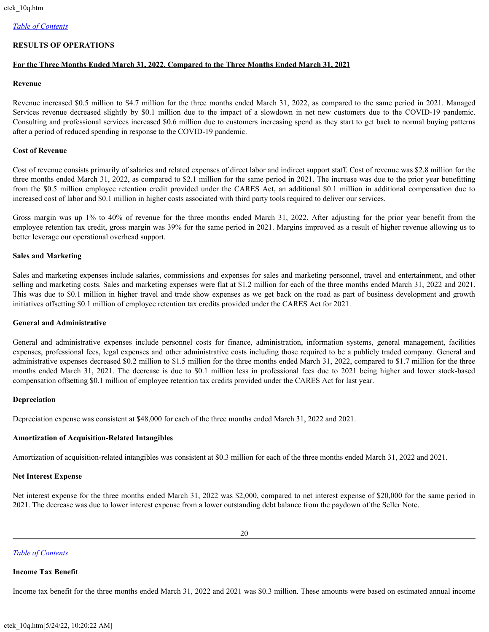# **RESULTS OF OPERATIONS**

# **For the Three Months Ended March 31, 2022, Compared to the Three Months Ended March 31, 2021**

# **Revenue**

Revenue increased \$0.5 million to \$4.7 million for the three months ended March 31, 2022, as compared to the same period in 2021. Managed Services revenue decreased slightly by \$0.1 million due to the impact of a slowdown in net new customers due to the COVID-19 pandemic. Consulting and professional services increased \$0.6 million due to customers increasing spend as they start to get back to normal buying patterns after a period of reduced spending in response to the COVID-19 pandemic.

# **Cost of Revenue**

Cost of revenue consists primarily of salaries and related expenses of direct labor and indirect support staff. Cost of revenue was \$2.8 million for the three months ended March 31, 2022, as compared to \$2.1 million for the same period in 2021. The increase was due to the prior year benefitting from the \$0.5 million employee retention credit provided under the CARES Act, an additional \$0.1 million in additional compensation due to increased cost of labor and \$0.1 million in higher costs associated with third party tools required to deliver our services.

Gross margin was up 1% to 40% of revenue for the three months ended March 31, 2022. After adjusting for the prior year benefit from the employee retention tax credit, gross margin was 39% for the same period in 2021. Margins improved as a result of higher revenue allowing us to better leverage our operational overhead support.

#### **Sales and Marketing**

Sales and marketing expenses include salaries, commissions and expenses for sales and marketing personnel, travel and entertainment, and other selling and marketing costs. Sales and marketing expenses were flat at \$1.2 million for each of the three months ended March 31, 2022 and 2021. This was due to \$0.1 million in higher travel and trade show expenses as we get back on the road as part of business development and growth initiatives offsetting \$0.1 million of employee retention tax credits provided under the CARES Act for 2021.

#### **General and Administrative**

General and administrative expenses include personnel costs for finance, administration, information systems, general management, facilities expenses, professional fees, legal expenses and other administrative costs including those required to be a publicly traded company. General and administrative expenses decreased \$0.2 million to \$1.5 million for the three months ended March 31, 2022, compared to \$1.7 million for the three months ended March 31, 2021. The decrease is due to \$0.1 million less in professional fees due to 2021 being higher and lower stock-based compensation offsetting \$0.1 million of employee retention tax credits provided under the CARES Act for last year.

#### **Depreciation**

Depreciation expense was consistent at \$48,000 for each of the three months ended March 31, 2022 and 2021.

# **Amortization of Acquisition-Related Intangibles**

Amortization of acquisition-related intangibles was consistent at \$0.3 million for each of the three months ended March 31, 2022 and 2021.

#### **Net Interest Expense**

Net interest expense for the three months ended March 31, 2022 was \$2,000, compared to net interest expense of \$20,000 for the same period in 2021. The decrease was due to lower interest expense from a lower outstanding debt balance from the paydown of the Seller Note.

# *[Table of Contents](#page-1-0)*

#### **Income Tax Benefit**

Income tax benefit for the three months ended March 31, 2022 and 2021 was \$0.3 million. These amounts were based on estimated annual income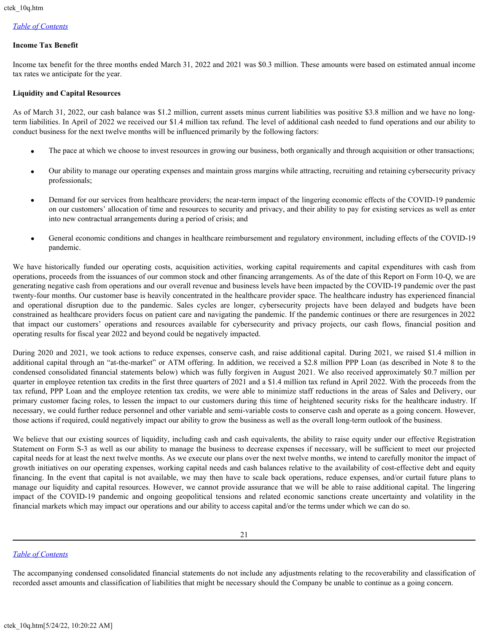# **Income Tax Benefit**

Income tax benefit for the three months ended March 31, 2022 and 2021 was \$0.3 million. These amounts were based on estimated annual income tax rates we anticipate for the year.

#### **Liquidity and Capital Resources**

As of March 31, 2022, our cash balance was \$1.2 million, current assets minus current liabilities was positive \$3.8 million and we have no longterm liabilities. In April of 2022 we received our \$1.4 million tax refund. The level of additional cash needed to fund operations and our ability to conduct business for the next twelve months will be influenced primarily by the following factors:

- The pace at which we choose to invest resources in growing our business, both organically and through acquisition or other transactions;
- · Our ability to manage our operating expenses and maintain gross margins while attracting, recruiting and retaining cybersecurity privacy professionals;
- · Demand for our services from healthcare providers; the near-term impact of the lingering economic effects of the COVID-19 pandemic on our customers' allocation of time and resources to security and privacy, and their ability to pay for existing services as well as enter into new contractual arrangements during a period of crisis; and
- General economic conditions and changes in healthcare reimbursement and regulatory environment, including effects of the COVID-19 pandemic.

We have historically funded our operating costs, acquisition activities, working capital requirements and capital expenditures with cash from operations, proceeds from the issuances of our common stock and other financing arrangements. As of the date of this Report on Form 10-Q, we are generating negative cash from operations and our overall revenue and business levels have been impacted by the COVID-19 pandemic over the past twenty-four months. Our customer base is heavily concentrated in the healthcare provider space. The healthcare industry has experienced financial and operational disruption due to the pandemic. Sales cycles are longer, cybersecurity projects have been delayed and budgets have been constrained as healthcare providers focus on patient care and navigating the pandemic. If the pandemic continues or there are resurgences in 2022 that impact our customers' operations and resources available for cybersecurity and privacy projects, our cash flows, financial position and operating results for fiscal year 2022 and beyond could be negatively impacted.

During 2020 and 2021, we took actions to reduce expenses, conserve cash, and raise additional capital. During 2021, we raised \$1.4 million in additional capital through an "at-the-market" or ATM offering. In addition, we received a \$2.8 million PPP Loan (as described in Note 8 to the condensed consolidated financial statements below) which was fully forgiven in August 2021. We also received approximately \$0.7 million per quarter in employee retention tax credits in the first three quarters of 2021 and a \$1.4 million tax refund in April 2022. With the proceeds from the tax refund, PPP Loan and the employee retention tax credits, we were able to minimize staff reductions in the areas of Sales and Delivery, our primary customer facing roles, to lessen the impact to our customers during this time of heightened security risks for the healthcare industry. If necessary, we could further reduce personnel and other variable and semi-variable costs to conserve cash and operate as a going concern. However, those actions if required, could negatively impact our ability to grow the business as well as the overall long-term outlook of the business.

We believe that our existing sources of liquidity, including cash and cash equivalents, the ability to raise equity under our effective Registration Statement on Form S-3 as well as our ability to manage the business to decrease expenses if necessary, will be sufficient to meet our projected capital needs for at least the next twelve months. As we execute our plans over the next twelve months, we intend to carefully monitor the impact of growth initiatives on our operating expenses, working capital needs and cash balances relative to the availability of cost-effective debt and equity financing. In the event that capital is not available, we may then have to scale back operations, reduce expenses, and/or curtail future plans to manage our liquidity and capital resources. However, we cannot provide assurance that we will be able to raise additional capital. The lingering impact of the COVID-19 pandemic and ongoing geopolitical tensions and related economic sanctions create uncertainty and volatility in the financial markets which may impact our operations and our ability to access capital and/or the terms under which we can do so.

# *[Table of Contents](#page-1-0)*

The accompanying condensed consolidated financial statements do not include any adjustments relating to the recoverability and classification of recorded asset amounts and classification of liabilities that might be necessary should the Company be unable to continue as a going concern.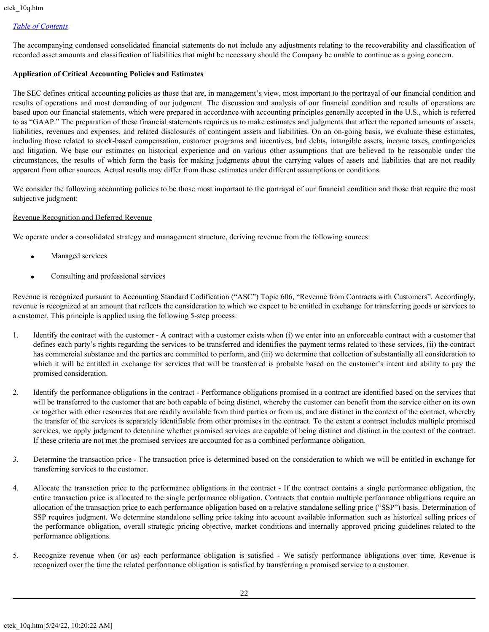The accompanying condensed consolidated financial statements do not include any adjustments relating to the recoverability and classification of recorded asset amounts and classification of liabilities that might be necessary should the Company be unable to continue as a going concern.

# **Application of Critical Accounting Policies and Estimates**

The SEC defines critical accounting policies as those that are, in management's view, most important to the portrayal of our financial condition and results of operations and most demanding of our judgment. The discussion and analysis of our financial condition and results of operations are based upon our financial statements, which were prepared in accordance with accounting principles generally accepted in the U.S., which is referred to as "GAAP." The preparation of these financial statements requires us to make estimates and judgments that affect the reported amounts of assets, liabilities, revenues and expenses, and related disclosures of contingent assets and liabilities. On an on-going basis, we evaluate these estimates, including those related to stock-based compensation, customer programs and incentives, bad debts, intangible assets, income taxes, contingencies and litigation. We base our estimates on historical experience and on various other assumptions that are believed to be reasonable under the circumstances, the results of which form the basis for making judgments about the carrying values of assets and liabilities that are not readily apparent from other sources. Actual results may differ from these estimates under different assumptions or conditions.

We consider the following accounting policies to be those most important to the portrayal of our financial condition and those that require the most subjective judgment:

#### Revenue Recognition and Deferred Revenue

We operate under a consolidated strategy and management structure, deriving revenue from the following sources:

- Managed services
- · Consulting and professional services

Revenue is recognized pursuant to Accounting Standard Codification ("ASC") Topic 606, "Revenue from Contracts with Customers". Accordingly, revenue is recognized at an amount that reflects the consideration to which we expect to be entitled in exchange for transferring goods or services to a customer. This principle is applied using the following 5-step process:

- 1. Identify the contract with the customer A contract with a customer exists when (i) we enter into an enforceable contract with a customer that defines each party's rights regarding the services to be transferred and identifies the payment terms related to these services, (ii) the contract has commercial substance and the parties are committed to perform, and (iii) we determine that collection of substantially all consideration to which it will be entitled in exchange for services that will be transferred is probable based on the customer's intent and ability to pay the promised consideration.
- 2. Identify the performance obligations in the contract Performance obligations promised in a contract are identified based on the services that will be transferred to the customer that are both capable of being distinct, whereby the customer can benefit from the service either on its own or together with other resources that are readily available from third parties or from us, and are distinct in the context of the contract, whereby the transfer of the services is separately identifiable from other promises in the contract. To the extent a contract includes multiple promised services, we apply judgment to determine whether promised services are capable of being distinct and distinct in the context of the contract. If these criteria are not met the promised services are accounted for as a combined performance obligation.
- 3. Determine the transaction price The transaction price is determined based on the consideration to which we will be entitled in exchange for transferring services to the customer.
- 4. Allocate the transaction price to the performance obligations in the contract If the contract contains a single performance obligation, the entire transaction price is allocated to the single performance obligation. Contracts that contain multiple performance obligations require an allocation of the transaction price to each performance obligation based on a relative standalone selling price ("SSP") basis. Determination of SSP requires judgment. We determine standalone selling price taking into account available information such as historical selling prices of the performance obligation, overall strategic pricing objective, market conditions and internally approved pricing guidelines related to the performance obligations.
- 5. Recognize revenue when (or as) each performance obligation is satisfied We satisfy performance obligations over time. Revenue is recognized over the time the related performance obligation is satisfied by transferring a promised service to a customer.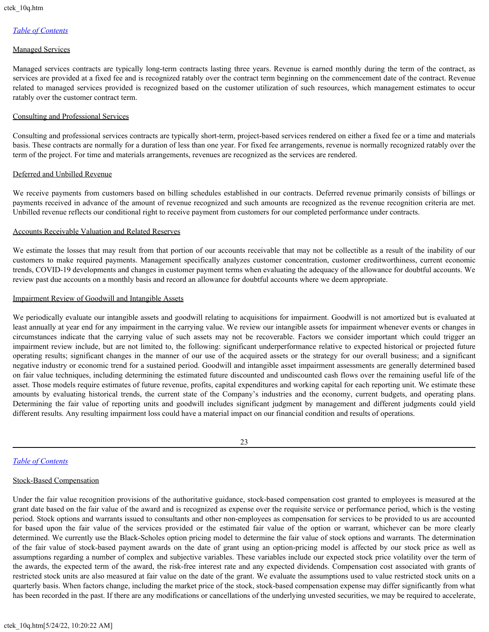#### Managed Services

Managed services contracts are typically long-term contracts lasting three years. Revenue is earned monthly during the term of the contract, as services are provided at a fixed fee and is recognized ratably over the contract term beginning on the commencement date of the contract. Revenue related to managed services provided is recognized based on the customer utilization of such resources, which management estimates to occur ratably over the customer contract term.

## Consulting and Professional Services

Consulting and professional services contracts are typically short-term, project-based services rendered on either a fixed fee or a time and materials basis. These contracts are normally for a duration of less than one year. For fixed fee arrangements, revenue is normally recognized ratably over the term of the project. For time and materials arrangements, revenues are recognized as the services are rendered.

#### Deferred and Unbilled Revenue

We receive payments from customers based on billing schedules established in our contracts. Deferred revenue primarily consists of billings or payments received in advance of the amount of revenue recognized and such amounts are recognized as the revenue recognition criteria are met. Unbilled revenue reflects our conditional right to receive payment from customers for our completed performance under contracts.

#### Accounts Receivable Valuation and Related Reserves

We estimate the losses that may result from that portion of our accounts receivable that may not be collectible as a result of the inability of our customers to make required payments. Management specifically analyzes customer concentration, customer creditworthiness, current economic trends, COVID-19 developments and changes in customer payment terms when evaluating the adequacy of the allowance for doubtful accounts. We review past due accounts on a monthly basis and record an allowance for doubtful accounts where we deem appropriate.

#### Impairment Review of Goodwill and Intangible Assets

We periodically evaluate our intangible assets and goodwill relating to acquisitions for impairment. Goodwill is not amortized but is evaluated at least annually at year end for any impairment in the carrying value. We review our intangible assets for impairment whenever events or changes in circumstances indicate that the carrying value of such assets may not be recoverable. Factors we consider important which could trigger an impairment review include, but are not limited to, the following: significant underperformance relative to expected historical or projected future operating results; significant changes in the manner of our use of the acquired assets or the strategy for our overall business; and a significant negative industry or economic trend for a sustained period. Goodwill and intangible asset impairment assessments are generally determined based on fair value techniques, including determining the estimated future discounted and undiscounted cash flows over the remaining useful life of the asset. Those models require estimates of future revenue, profits, capital expenditures and working capital for each reporting unit. We estimate these amounts by evaluating historical trends, the current state of the Company's industries and the economy, current budgets, and operating plans. Determining the fair value of reporting units and goodwill includes significant judgment by management and different judgments could yield different results. Any resulting impairment loss could have a material impact on our financial condition and results of operations.

23

# *[Table of Contents](#page-1-0)*

# Stock-Based Compensation

Under the fair value recognition provisions of the authoritative guidance, stock-based compensation cost granted to employees is measured at the grant date based on the fair value of the award and is recognized as expense over the requisite service or performance period, which is the vesting period. Stock options and warrants issued to consultants and other non-employees as compensation for services to be provided to us are accounted for based upon the fair value of the services provided or the estimated fair value of the option or warrant, whichever can be more clearly determined. We currently use the Black-Scholes option pricing model to determine the fair value of stock options and warrants. The determination of the fair value of stock-based payment awards on the date of grant using an option-pricing model is affected by our stock price as well as assumptions regarding a number of complex and subjective variables. These variables include our expected stock price volatility over the term of the awards, the expected term of the award, the risk-free interest rate and any expected dividends. Compensation cost associated with grants of restricted stock units are also measured at fair value on the date of the grant. We evaluate the assumptions used to value restricted stock units on a quarterly basis. When factors change, including the market price of the stock, stock-based compensation expense may differ significantly from what has been recorded in the past. If there are any modifications or cancellations of the underlying unvested securities, we may be required to accelerate,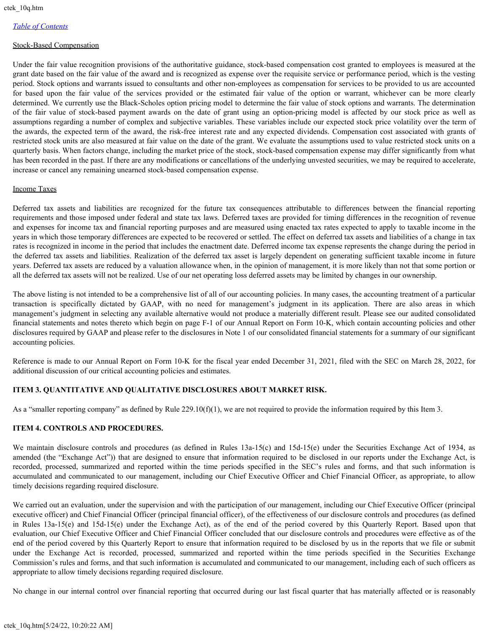#### Stock-Based Compensation

Under the fair value recognition provisions of the authoritative guidance, stock-based compensation cost granted to employees is measured at the grant date based on the fair value of the award and is recognized as expense over the requisite service or performance period, which is the vesting period. Stock options and warrants issued to consultants and other non-employees as compensation for services to be provided to us are accounted for based upon the fair value of the services provided or the estimated fair value of the option or warrant, whichever can be more clearly determined. We currently use the Black-Scholes option pricing model to determine the fair value of stock options and warrants. The determination of the fair value of stock-based payment awards on the date of grant using an option-pricing model is affected by our stock price as well as assumptions regarding a number of complex and subjective variables. These variables include our expected stock price volatility over the term of the awards, the expected term of the award, the risk-free interest rate and any expected dividends. Compensation cost associated with grants of restricted stock units are also measured at fair value on the date of the grant. We evaluate the assumptions used to value restricted stock units on a quarterly basis. When factors change, including the market price of the stock, stock-based compensation expense may differ significantly from what has been recorded in the past. If there are any modifications or cancellations of the underlying unvested securities, we may be required to accelerate, increase or cancel any remaining unearned stock-based compensation expense.

# Income Taxes

Deferred tax assets and liabilities are recognized for the future tax consequences attributable to differences between the financial reporting requirements and those imposed under federal and state tax laws. Deferred taxes are provided for timing differences in the recognition of revenue and expenses for income tax and financial reporting purposes and are measured using enacted tax rates expected to apply to taxable income in the years in which those temporary differences are expected to be recovered or settled. The effect on deferred tax assets and liabilities of a change in tax rates is recognized in income in the period that includes the enactment date. Deferred income tax expense represents the change during the period in the deferred tax assets and liabilities. Realization of the deferred tax asset is largely dependent on generating sufficient taxable income in future years. Deferred tax assets are reduced by a valuation allowance when, in the opinion of management, it is more likely than not that some portion or all the deferred tax assets will not be realized. Use of our net operating loss deferred assets may be limited by changes in our ownership.

The above listing is not intended to be a comprehensive list of all of our accounting policies. In many cases, the accounting treatment of a particular transaction is specifically dictated by GAAP, with no need for management's judgment in its application. There are also areas in which management's judgment in selecting any available alternative would not produce a materially different result. Please see our audited consolidated financial statements and notes thereto which begin on page F-1 of our Annual Report on Form 10-K, which contain accounting policies and other disclosures required by GAAP and please refer to the disclosures in Note 1 of our consolidated financial statements for a summary of our significant accounting policies.

Reference is made to our Annual Report on Form 10-K for the fiscal year ended December 31, 2021, filed with the SEC on March 28, 2022, for additional discussion of our critical accounting policies and estimates.

# <span id="page-23-0"></span>**ITEM 3. QUANTITATIVE AND QUALITATIVE DISCLOSURES ABOUT MARKET RISK.**

As a "smaller reporting company" as defined by Rule  $229.10(f)(1)$ , we are not required to provide the information required by this Item 3.

# <span id="page-23-1"></span>**ITEM 4. CONTROLS AND PROCEDURES.**

We maintain disclosure controls and procedures (as defined in Rules 13a-15(c) and 15d-15(e) under the Securities Exchange Act of 1934, as amended (the "Exchange Act")) that are designed to ensure that information required to be disclosed in our reports under the Exchange Act, is recorded, processed, summarized and reported within the time periods specified in the SEC's rules and forms, and that such information is accumulated and communicated to our management, including our Chief Executive Officer and Chief Financial Officer, as appropriate, to allow timely decisions regarding required disclosure.

We carried out an evaluation, under the supervision and with the participation of our management, including our Chief Executive Officer (principal executive officer) and Chief Financial Officer (principal financial officer), of the effectiveness of our disclosure controls and procedures (as defined in Rules 13a-15(e) and 15d-15(e) under the Exchange Act), as of the end of the period covered by this Quarterly Report. Based upon that evaluation, our Chief Executive Officer and Chief Financial Officer concluded that our disclosure controls and procedures were effective as of the end of the period covered by this Quarterly Report to ensure that information required to be disclosed by us in the reports that we file or submit under the Exchange Act is recorded, processed, summarized and reported within the time periods specified in the Securities Exchange Commission's rules and forms, and that such information is accumulated and communicated to our management, including each of such officers as appropriate to allow timely decisions regarding required disclosure.

No change in our internal control over financial reporting that occurred during our last fiscal quarter that has materially affected or is reasonably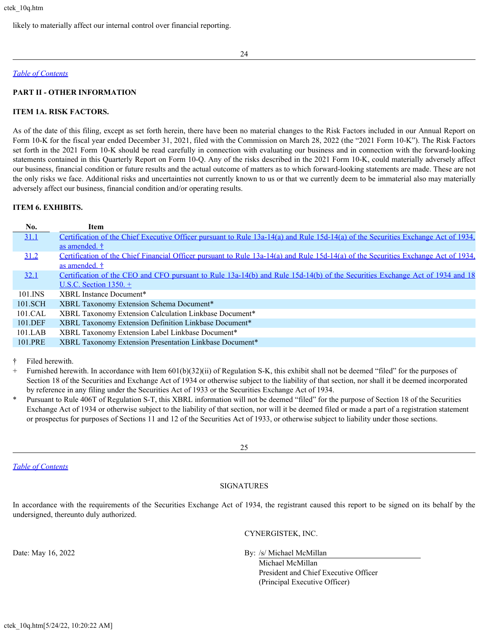likely to materially affect our internal control over financial reporting.

#### *[Table of Contents](#page-1-0)*

## <span id="page-24-0"></span>**PART II - OTHER INFORMATION**

#### <span id="page-24-1"></span>**ITEM 1A. RISK FACTORS.**

As of the date of this filing, except as set forth herein, there have been no material changes to the Risk Factors included in our Annual Report on Form 10-K for the fiscal year ended December 31, 2021, filed with the Commission on March 28, 2022 (the "2021 Form 10-K"). The Risk Factors set forth in the 2021 Form 10-K should be read carefully in connection with evaluating our business and in connection with the forward-looking statements contained in this Quarterly Report on Form 10-Q. Any of the risks described in the 2021 Form 10-K, could materially adversely affect our business, financial condition or future results and the actual outcome of matters as to which forward-looking statements are made. These are not the only risks we face. Additional risks and uncertainties not currently known to us or that we currently deem to be immaterial also may materially adversely affect our business, financial condition and/or operating results.

#### <span id="page-24-2"></span>**ITEM 6. EXHIBITS.**

| No.     | Item                                                                                                                               |
|---------|------------------------------------------------------------------------------------------------------------------------------------|
| 31.1    | Certification of the Chief Executive Officer pursuant to Rule 13a-14(a) and Rule 15d-14(a) of the Securities Exchange Act of 1934, |
|         | as amended. †                                                                                                                      |
| 31.2    | Certification of the Chief Financial Officer pursuant to Rule 13a-14(a) and Rule 15d-14(a) of the Securities Exchange Act of 1934, |
|         | as amended. †                                                                                                                      |
| 32.1    | Certification of the CEO and CFO pursuant to Rule 13a-14(b) and Rule 15d-14(b) of the Securities Exchange Act of 1934 and 18       |
|         | U.S.C. Section $1350.+$                                                                                                            |
| 101.INS | XBRL Instance Document*                                                                                                            |
| 101.SCH | XBRL Taxonomy Extension Schema Document*                                                                                           |
| 101.CAL | XBRL Taxonomy Extension Calculation Linkbase Document*                                                                             |
| 101.DEF | XBRL Taxonomy Extension Definition Linkbase Document*                                                                              |
| 101.LAB | XBRL Taxonomy Extension Label Linkbase Document*                                                                                   |
| 101.PRE | XBRL Taxonomy Extension Presentation Linkbase Document*                                                                            |

† Filed herewith.

+ Furnished herewith. In accordance with Item 601(b)(32)(ii) of Regulation S-K, this exhibit shall not be deemed "filed" for the purposes of Section 18 of the Securities and Exchange Act of 1934 or otherwise subject to the liability of that section, nor shall it be deemed incorporated by reference in any filing under the Securities Act of 1933 or the Securities Exchange Act of 1934.

Pursuant to Rule 406T of Regulation S-T, this XBRL information will not be deemed "filed" for the purpose of Section 18 of the Securities Exchange Act of 1934 or otherwise subject to the liability of that section, nor will it be deemed filed or made a part of a registration statement or prospectus for purposes of Sections 11 and 12 of the Securities Act of 1933, or otherwise subject to liability under those sections.

25

*[Table of Contents](#page-1-0)*

#### SIGNATURES

In accordance with the requirements of the Securities Exchange Act of 1934, the registrant caused this report to be signed on its behalf by the undersigned, thereunto duly authorized.

CYNERGISTEK, INC.

Date: May 16, 2022 By: /s/ Michael McMillan

Michael McMillan President and Chief Executive Officer (Principal Executive Officer)